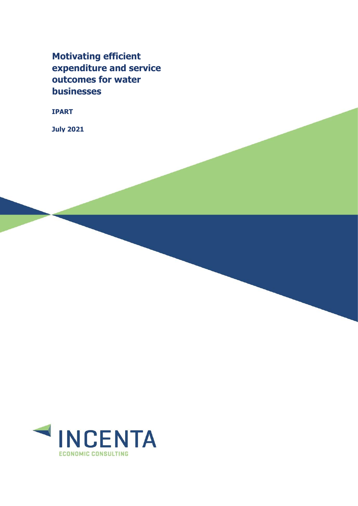**Motivating efficient expenditure and service outcomes for water businesses** 

**IPART**

**July 2021**

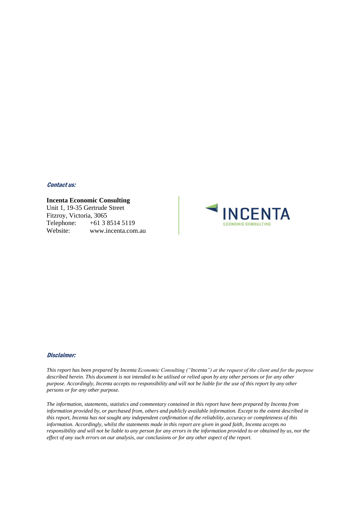### Contact us:

#### **Incenta Economic Consulting**

Unit 1, 19-35 Gertrude Street Fitzroy, Victoria, 3065 Telephone: +61 3 8514 5119 Website: www.incenta.com.au



#### Disclaimer:

*This report has been prepared by Incenta Economic Consulting ("Incenta") at the request of the client and for the purpose described herein. This document is not intended to be utilised or relied upon by any other persons or for any other purpose. Accordingly, Incenta accepts no responsibility and will not be liable for the use of this report by any other persons or for any other purpose.*

*The information, statements, statistics and commentary contained in this report have been prepared by Incenta from information provided by, or purchased from, others and publicly available information. Except to the extent described in this report, Incenta has not sought any independent confirmation of the reliability, accuracy or completeness of this information. Accordingly, whilst the statements made in this report are given in good faith, Incenta accepts no responsibility and will not be liable to any person for any errors in the information provided to or obtained by us, nor the effect of any such errors on our analysis, our conclusions or for any other aspect of the report.*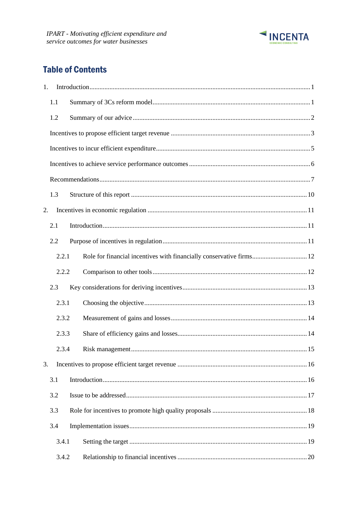

# **Table of Contents**

| $\mathbf{1}$ . |     |       |                                                                      |  |  |  |  |  |
|----------------|-----|-------|----------------------------------------------------------------------|--|--|--|--|--|
|                | 1.1 |       |                                                                      |  |  |  |  |  |
|                | 1.2 |       |                                                                      |  |  |  |  |  |
|                |     |       |                                                                      |  |  |  |  |  |
|                |     |       |                                                                      |  |  |  |  |  |
|                |     |       |                                                                      |  |  |  |  |  |
|                |     |       |                                                                      |  |  |  |  |  |
|                | 1.3 |       |                                                                      |  |  |  |  |  |
| 2.             |     |       |                                                                      |  |  |  |  |  |
|                | 2.1 |       |                                                                      |  |  |  |  |  |
|                | 2.2 |       |                                                                      |  |  |  |  |  |
|                |     | 2.2.1 | Role for financial incentives with financially conservative firms 12 |  |  |  |  |  |
|                |     | 2.2.2 |                                                                      |  |  |  |  |  |
|                | 2.3 |       |                                                                      |  |  |  |  |  |
|                |     | 2.3.1 |                                                                      |  |  |  |  |  |
|                |     | 2.3.2 |                                                                      |  |  |  |  |  |
|                |     | 2.3.3 |                                                                      |  |  |  |  |  |
|                |     | 2.3.4 |                                                                      |  |  |  |  |  |
| 3.             |     |       |                                                                      |  |  |  |  |  |
|                | 3.1 |       |                                                                      |  |  |  |  |  |
|                | 3.2 |       |                                                                      |  |  |  |  |  |
|                | 3.3 |       |                                                                      |  |  |  |  |  |
|                | 3.4 |       |                                                                      |  |  |  |  |  |
|                |     | 3.4.1 |                                                                      |  |  |  |  |  |
|                |     | 3.4.2 |                                                                      |  |  |  |  |  |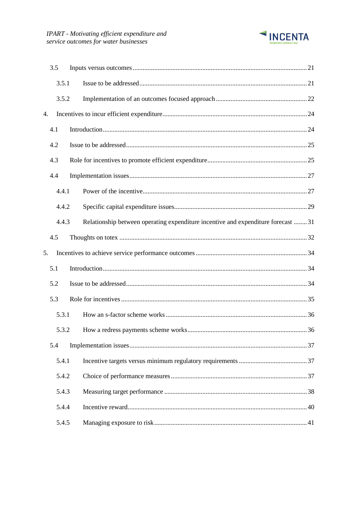

|    | 3.5   |  |                                                                                  |  |
|----|-------|--|----------------------------------------------------------------------------------|--|
|    | 3.5.1 |  |                                                                                  |  |
|    | 3.5.2 |  |                                                                                  |  |
| 4. |       |  |                                                                                  |  |
|    | 4.1   |  |                                                                                  |  |
|    | 4.2   |  |                                                                                  |  |
|    | 4.3   |  |                                                                                  |  |
|    | 4.4   |  |                                                                                  |  |
|    | 4.4.1 |  |                                                                                  |  |
|    | 4.4.2 |  |                                                                                  |  |
|    | 4.4.3 |  | Relationship between operating expenditure incentive and expenditure forecast 31 |  |
|    | 4.5   |  |                                                                                  |  |
| 5. |       |  |                                                                                  |  |
|    | 5.1   |  |                                                                                  |  |
|    | 5.2   |  |                                                                                  |  |
|    | 5.3   |  |                                                                                  |  |
|    | 5.3.1 |  |                                                                                  |  |
|    | 5.3.2 |  |                                                                                  |  |
|    | 5.4   |  |                                                                                  |  |
|    | 5.4.1 |  |                                                                                  |  |
|    | 5.4.2 |  |                                                                                  |  |
|    | 5.4.3 |  |                                                                                  |  |
|    | 5.4.4 |  |                                                                                  |  |
|    | 5.4.5 |  |                                                                                  |  |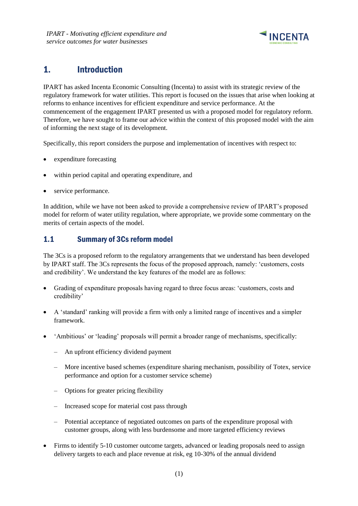

# <span id="page-4-0"></span>1. Introduction

IPART has asked Incenta Economic Consulting (Incenta) to assist with its strategic review of the regulatory framework for water utilities. This report is focused on the issues that arise when looking at reforms to enhance incentives for efficient expenditure and service performance. At the commencement of the engagement IPART presented us with a proposed model for regulatory reform. Therefore, we have sought to frame our advice within the context of this proposed model with the aim of informing the next stage of its development.

Specifically, this report considers the purpose and implementation of incentives with respect to:

- expenditure forecasting
- within period capital and operating expenditure, and
- service performance.

In addition, while we have not been asked to provide a comprehensive review of IPART's proposed model for reform of water utility regulation, where appropriate, we provide some commentary on the merits of certain aspects of the model.

### <span id="page-4-1"></span>1.1 Summary of 3Cs reform model

The 3Cs is a proposed reform to the regulatory arrangements that we understand has been developed by IPART staff. The 3Cs represents the focus of the proposed approach, namely: 'customers, costs and credibility'. We understand the key features of the model are as follows:

- Grading of expenditure proposals having regard to three focus areas: 'customers, costs and credibility'
- A 'standard' ranking will provide a firm with only a limited range of incentives and a simpler framework.
- 'Ambitious' or 'leading' proposals will permit a broader range of mechanisms, specifically:
	- An upfront efficiency dividend payment
	- More incentive based schemes (expenditure sharing mechanism, possibility of Totex, service performance and option for a customer service scheme)
	- Options for greater pricing flexibility
	- Increased scope for material cost pass through
	- Potential acceptance of negotiated outcomes on parts of the expenditure proposal with customer groups, along with less burdensome and more targeted efficiency reviews
- Firms to identify 5-10 customer outcome targets, advanced or leading proposals need to assign delivery targets to each and place revenue at risk, eg 10-30% of the annual dividend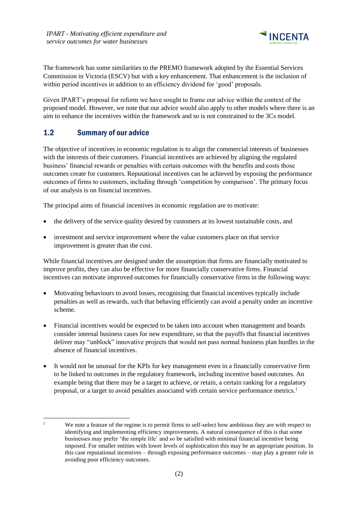

The framework has some similarities to the PREMO framework adopted by the Essential Services Commission in Victoria (ESCV) but with a key enhancement. That enhancement is the inclusion of within period incentives in addition to an efficiency dividend for 'good' proposals.

Given IPART's proposal for reform we have sought to frame our advice within the context of the proposed model. However, we note that our advice would also apply to other models where there is an aim to enhance the incentives within the framework and so is not constrained to the 3Cs model.

# <span id="page-5-0"></span>1.2 Summary of our advice

The objective of incentives in economic regulation is to align the commercial interests of businesses with the interests of their customers. Financial incentives are achieved by aligning the regulated business' financial rewards or penalties with certain outcomes with the benefits and costs those outcomes create for customers. Reputational incentives can be achieved by exposing the performance outcomes of firms to customers, including through 'competition by comparison'. The primary focus of our analysis is on financial incentives.

The principal aims of financial incentives in economic regulation are to motivate:

- the delivery of the service quality desired by customers at its lowest sustainable costs, and
- investment and service improvement where the value customers place on that service improvement is greater than the cost.

While financial incentives are designed under the assumption that firms are financially motivated to improve profits, they can also be effective for more financially conservative firms. Financial incentives can motivate improved outcomes for financially conservative firms in the following ways:

- Motivating behaviours to avoid losses, recognising that financial incentives typically include penalties as well as rewards, such that behaving efficiently can avoid a penalty under an incentive scheme.
- Financial incentives would be expected to be taken into account when management and boards consider internal business cases for new expenditure, so that the payoffs that financial incentives deliver may "unblock" innovative projects that would not pass normal business plan hurdles in the absence of financial incentives.
- It would not be unusual for the KPIs for key management even in a financially conservative firm to be linked to outcomes in the regulatory framework, including incentive based outcomes. An example being that there may be a target to achieve, or retain, a certain ranking for a regulatory proposal, or a target to avoid penalties associated with certain service performance metrics.<sup>1</sup>

<sup>&</sup>lt;sup>1</sup> We note a feature of the regime is to permit firms to self-select how ambitious they are with respect to identifying and implementing efficiency improvements. A natural consequence of this is that some businesses may prefer 'the simple life' and so be satisfied with minimal financial incentive being imposed. For smaller entities with lower levels of sophistication this may be an appropriate position. In this case reputational incentives – through exposing performance outcomes – may play a greater role in avoiding poor efficiency outcomes.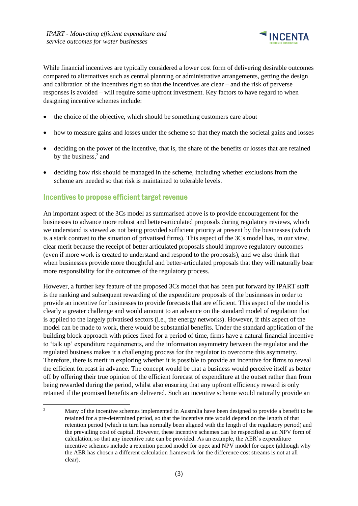

While financial incentives are typically considered a lower cost form of delivering desirable outcomes compared to alternatives such as central planning or administrative arrangements, getting the design and calibration of the incentives right so that the incentives are clear – and the risk of perverse responses is avoided – will require some upfront investment. Key factors to have regard to when designing incentive schemes include:

- the choice of the objective, which should be something customers care about
- how to measure gains and losses under the scheme so that they match the societal gains and losses
- deciding on the power of the incentive, that is, the share of the benefits or losses that are retained by the business, $2$  and
- deciding how risk should be managed in the scheme, including whether exclusions from the scheme are needed so that risk is maintained to tolerable levels.

### <span id="page-6-0"></span>Incentives to propose efficient target revenue

An important aspect of the 3Cs model as summarised above is to provide encouragement for the businesses to advance more robust and better-articulated proposals during regulatory reviews, which we understand is viewed as not being provided sufficient priority at present by the businesses (which is a stark contrast to the situation of privatised firms). This aspect of the 3Cs model has, in our view, clear merit because the receipt of better articulated proposals should improve regulatory outcomes (even if more work is created to understand and respond to the proposals), and we also think that when businesses provide more thoughtful and better-articulated proposals that they will naturally bear more responsibility for the outcomes of the regulatory process.

However, a further key feature of the proposed 3Cs model that has been put forward by IPART staff is the ranking and subsequent rewarding of the expenditure proposals of the businesses in order to provide an incentive for businesses to provide forecasts that are efficient. This aspect of the model is clearly a greater challenge and would amount to an advance on the standard model of regulation that is applied to the largely privatised sectors (i.e., the energy networks). However, if this aspect of the model can be made to work, there would be substantial benefits. Under the standard application of the building block approach with prices fixed for a period of time, firms have a natural financial incentive to 'talk up' expenditure requirements, and the information asymmetry between the regulator and the regulated business makes it a challenging process for the regulator to overcome this asymmetry. Therefore, there is merit in exploring whether it is possible to provide an incentive for firms to reveal the efficient forecast in advance. The concept would be that a business would perceive itself as better off by offering their true opinion of the efficient forecast of expenditure at the outset rather than from being rewarded during the period, whilst also ensuring that any upfront efficiency reward is only retained if the promised benefits are delivered. Such an incentive scheme would naturally provide an

<sup>&</sup>lt;sup>2</sup> Many of the incentive schemes implemented in Australia have been designed to provide a benefit to be retained for a pre-determined period, so that the incentive rate would depend on the length of that retention period (which in turn has normally been aligned with the length of the regulatory period) and the prevailing cost of capital. However, these incentive schemes can be respecified as an NPV form of calculation, so that any incentive rate can be provided. As an example, the AER's expenditure incentive schemes include a retention period model for opex and NPV model for capex (although why the AER has chosen a different calculation framework for the difference cost streams is not at all clear).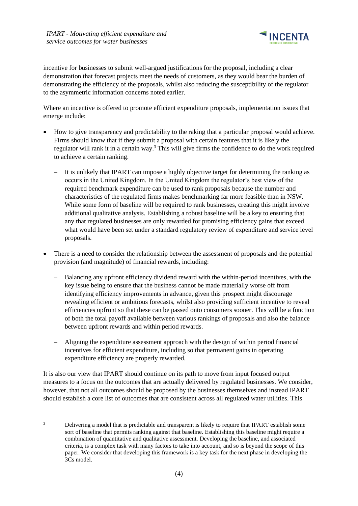

incentive for businesses to submit well-argued justifications for the proposal, including a clear demonstration that forecast projects meet the needs of customers, as they would bear the burden of demonstrating the efficiency of the proposals, whilst also reducing the susceptibility of the regulator to the asymmetric information concerns noted earlier.

Where an incentive is offered to promote efficient expenditure proposals, implementation issues that emerge include:

- How to give transparency and predictability to the raking that a particular proposal would achieve. Firms should know that if they submit a proposal with certain features that it is likely the regulator will rank it in a certain way.<sup>3</sup> This will give firms the confidence to do the work required to achieve a certain ranking.
	- It is unlikely that IPART can impose a highly objective target for determining the ranking as occurs in the United Kingdom. In the United Kingdom the regulator's best view of the required benchmark expenditure can be used to rank proposals because the number and characteristics of the regulated firms makes benchmarking far more feasible than in NSW. While some form of baseline will be required to rank businesses, creating this might involve additional qualitative analysis. Establishing a robust baseline will be a key to ensuring that any that regulated businesses are only rewarded for promising efficiency gains that exceed what would have been set under a standard regulatory review of expenditure and service level proposals.
- There is a need to consider the relationship between the assessment of proposals and the potential provision (and magnitude) of financial rewards, including:
	- Balancing any upfront efficiency dividend reward with the within-period incentives, with the key issue being to ensure that the business cannot be made materially worse off from identifying efficiency improvements in advance, given this prospect might discourage revealing efficient or ambitious forecasts, whilst also providing sufficient incentive to reveal efficiencies upfront so that these can be passed onto consumers sooner. This will be a function of both the total payoff available between various rankings of proposals and also the balance between upfront rewards and within period rewards.
	- Aligning the expenditure assessment approach with the design of within period financial incentives for efficient expenditure, including so that permanent gains in operating expenditure efficiency are properly rewarded.

It is also our view that IPART should continue on its path to move from input focused output measures to a focus on the outcomes that are actually delivered by regulated businesses. We consider, however, that not all outcomes should be proposed by the businesses themselves and instead IPART should establish a core list of outcomes that are consistent across all regulated water utilities. This

<sup>&</sup>lt;sup>3</sup> Delivering a model that is predictable and transparent is likely to require that IPART establish some sort of baseline that permits ranking against that baseline. Establishing this baseline might require a combination of quantitative and qualitative assessment. Developing the baseline, and associated criteria, is a complex task with many factors to take into account, and so is beyond the scope of this paper. We consider that developing this framework is a key task for the next phase in developing the 3Cs model.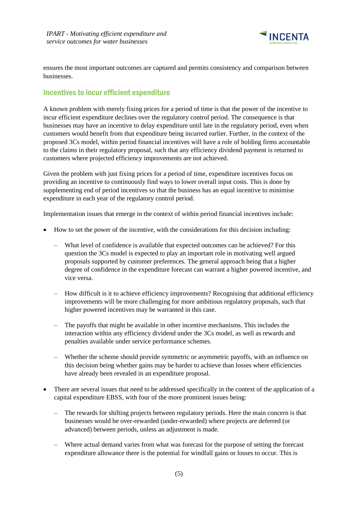

ensures the most important outcomes are captured and permits consistency and comparison between businesses.

### <span id="page-8-0"></span>Incentives to incur efficient expenditure

A known problem with merely fixing prices for a period of time is that the power of the incentive to incur efficient expenditure declines over the regulatory control period. The consequence is that businesses may have an incentive to delay expenditure until late in the regulatory period, even when customers would benefit from that expenditure being incurred earlier. Further, in the context of the proposed 3Cs model, within period financial incentives will have a role of holding firms accountable to the claims in their regulatory proposal, such that any efficiency dividend payment is returned to customers where projected efficiency improvements are not achieved.

Given the problem with just fixing prices for a period of time, expenditure incentives focus on providing an incentive to continuously find ways to lower overall input costs. This is done by supplementing end of period incentives so that the business has an equal incentive to minimise expenditure in each year of the regulatory control period.

Implementation issues that emerge in the context of within period financial incentives include:

- How to set the power of the incentive, with the considerations for this decision including:
	- What level of confidence is available that expected outcomes can be achieved? For this question the 3Cs model is expected to play an important role in motivating well argued proposals supported by customer preferences. The general approach being that a higher degree of confidence in the expenditure forecast can warrant a higher powered incentive, and vice versa.
	- How difficult is it to achieve efficiency improvements? Recognising that additional efficiency improvements will be more challenging for more ambitious regulatory proposals, such that higher powered incentives may be warranted in this case.
	- The payoffs that might be available in other incentive mechanisms. This includes the interaction within any efficiency dividend under the 3Cs model, as well as rewards and penalties available under service performance schemes.
	- Whether the scheme should provide symmetric or asymmetric payoffs, with an influence on this decision being whether gains may be harder to achieve than losses where efficiencies have already been revealed in an expenditure proposal.
- There are several issues that need to be addressed specifically in the context of the application of a capital expenditure EBSS, with four of the more prominent issues being:
	- The rewards for shifting projects between regulatory periods. Here the main concern is that businesses would be over-rewarded (under-rewarded) where projects are deferred (or advanced) between periods, unless an adjustment is made.
	- Where actual demand varies from what was forecast for the purpose of setting the forecast expenditure allowance there is the potential for windfall gains or losses to occur. This is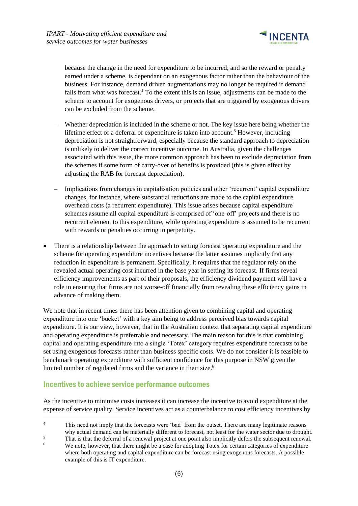

because the change in the need for expenditure to be incurred, and so the reward or penalty earned under a scheme, is dependant on an exogenous factor rather than the behaviour of the business. For instance, demand driven augmentations may no longer be required if demand falls from what was forecast.<sup>4</sup> To the extent this is an issue, adjustments can be made to the scheme to account for exogenous drivers, or projects that are triggered by exogenous drivers can be excluded from the scheme.

- Whether depreciation is included in the scheme or not. The key issue here being whether the lifetime effect of a deferral of expenditure is taken into account.<sup>5</sup> However, including depreciation is not straightforward, especially because the standard approach to depreciation is unlikely to deliver the correct incentive outcome. In Australia, given the challenges associated with this issue, the more common approach has been to exclude depreciation from the schemes if some form of carry-over of benefits is provided (this is given effect by adjusting the RAB for forecast depreciation).
- Implications from changes in capitalisation policies and other 'recurrent' capital expenditure changes, for instance, where substantial reductions are made to the capital expenditure overhead costs (a recurrent expenditure). This issue arises because capital expenditure schemes assume all capital expenditure is comprised of 'one-off' projects and there is no recurrent element to this expenditure, while operating expenditure is assumed to be recurrent with rewards or penalties occurring in perpetuity.
- There is a relationship between the approach to setting forecast operating expenditure and the scheme for operating expenditure incentives because the latter assumes implicitly that any reduction in expenditure is permanent. Specifically, it requires that the regulator rely on the revealed actual operating cost incurred in the base year in setting its forecast. If firms reveal efficiency improvements as part of their proposals, the efficiency dividend payment will have a role in ensuring that firms are not worse-off financially from revealing these efficiency gains in advance of making them.

We note that in recent times there has been attention given to combining capital and operating expenditure into one 'bucket' with a key aim being to address perceived bias towards capital expenditure. It is our view, however, that in the Australian context that separating capital expenditure and operating expenditure is preferrable and necessary. The main reason for this is that combining capital and operating expenditure into a single 'Totex' category requires expenditure forecasts to be set using exogenous forecasts rather than business specific costs. We do not consider it is feasible to benchmark operating expenditure with sufficient confidence for this purpose in NSW given the limited number of regulated firms and the variance in their size.<sup>6</sup>

### <span id="page-9-0"></span>Incentives to achieve service performance outcomes

As the incentive to minimise costs increases it can increase the incentive to avoid expenditure at the expense of service quality. Service incentives act as a counterbalance to cost efficiency incentives by

<sup>&</sup>lt;sup>4</sup> This need not imply that the forecasts were 'bad' from the outset. There are many legitimate reasons why actual demand can be materially different to forecast, not least for the water sector due to drought.

<sup>&</sup>lt;sup>5</sup><br>That is that the deferral of a renewal project at one point also implicitly defers the subsequent renewal.<br><sup>6</sup><br>No note however, that there might be a good for edenting Tater for earthin actoraging of summatives.

We note, however, that there might be a case for adopting Totex for certain categories of expenditure where both operating and capital expenditure can be forecast using exogenous forecasts. A possible example of this is IT expenditure.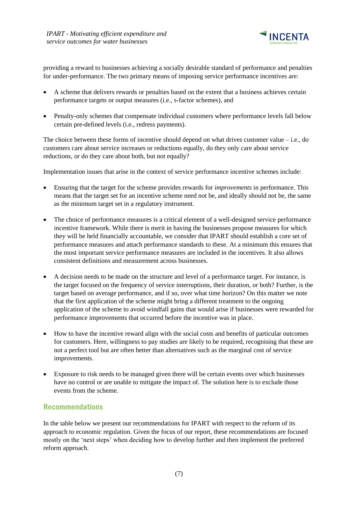

providing a reward to businesses achieving a socially desirable standard of performance and penalties for under-performance. The two primary means of imposing service performance incentives are:

- A scheme that delivers rewards or penalties based on the extent that a business achieves certain performance targets or output measures (i.e., s-factor schemes), and
- Penalty-only schemes that compensate individual customers where performance levels fall below certain pre-defined levels (i.e., redress payments).

The choice between these forms of incentive should depend on what drives customer value  $-$  i.e., do customers care about service increases or reductions equally, do they only care about service reductions, or do they care about both, but not equally?

Implementation issues that arise in the context of service performance incentive schemes include:

- Ensuring that the target for the scheme provides rewards for *improvements* in performance. This means that the target set for an incentive scheme need not be, and ideally should not be, the same as the minimum target set in a regulatory instrument.
- The choice of performance measures is a critical element of a well-designed service performance incentive framework. While there is merit in having the businesses propose measures for which they will be held financially accountable, we consider that IPART should establish a core set of performance measures and attach performance standards to these. At a minimum this ensures that the most important service performance measures are included in the incentives. It also allows consistent definitions and measurement across businesses.
- A decision needs to be made on the structure and level of a performance target. For instance, is the target focused on the frequency of service interruptions, their duration, or both? Further, is the target based on average performance, and if so, over what time horizon? On this matter we note that the first application of the scheme might bring a different treatment to the ongoing application of the scheme to avoid windfall gains that would arise if businesses were rewarded for performance improvements that occurred before the incentive was in place.
- How to have the incentive reward align with the social costs and benefits of particular outcomes for customers. Here, willingness to pay studies are likely to be required, recognising that these are not a perfect tool but are often better than alternatives such as the marginal cost of service improvements.
- Exposure to risk needs to be managed given there will be certain events over which businesses have no control or are unable to mitigate the impact of. The solution here is to exclude those events from the scheme.

### <span id="page-10-0"></span>Recommendations

In the table below we present our recommendations for IPART with respect to the reform of its approach to economic regulation. Given the focus of our report, these recommendations are focused mostly on the 'next steps' when deciding how to develop further and then implement the preferred reform approach.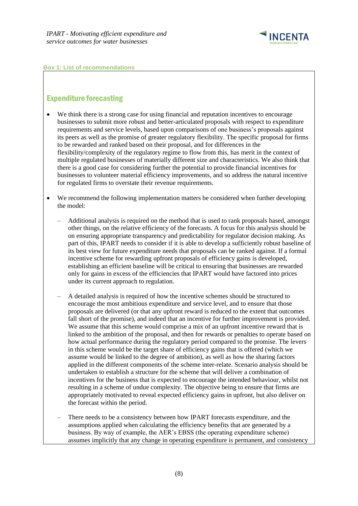

#### **Box 1: List of recommendations**

### Expenditure forecasting

- We think there is a strong case for using financial and reputation incentives to encourage businesses to submit more robust and better-articulated proposals with respect to expenditure requirements and service levels, based upon comparisons of one business's proposals against its peers as well as the promise of greater regulatory flexibility. The specific proposal for firms to be rewarded and ranked based on their proposal, and for differences in the flexibility/complexity of the regulatory regime to flow from this, has merit in the context of multiple regulated businesses of materially different size and characteristics. We also think that there is a good case for considering further the potential to provide financial incentives for businesses to volunteer material efficiency improvements, and so address the natural incentive for regulated firms to overstate their revenue requirements.
- We recommend the following implementation matters be considered when further developing the model:
	- Additional analysis is required on the method that is used to rank proposals based, amongst other things, on the relative efficiency of the forecasts. A focus for this analysis should be on ensuring appropriate transparency and predictability for regulator decision making. As part of this, IPART needs to consider if it is able to develop a sufficiently robust baseline of its best view for future expenditure needs that proposals can be ranked against. If a formal incentive scheme for rewarding upfront proposals of efficiency gains is developed, establishing an efficient baseline will be critical to ensuring that businesses are rewarded only for gains in excess of the efficiencies that IPART would have factored into prices under its current approach to regulation.
	- A detailed analysis is required of how the incentive schemes should be structured to encourage the most ambitious expenditure and service level, and to ensure that those proposals are delivered (or that any upfront reward is reduced to the extent that outcomes fall short of the promise), and indeed that an incentive for further improvement is provided. We assume that this scheme would comprise a mix of an upfront incentive reward that is linked to the ambition of the proposal, and then for rewards or penalties to operate based on how actual performance during the regulatory period compared to the promise. The levers in this scheme would be the target share of efficiency gains that is offered (which we assume would be linked to the degree of ambition), as well as how the sharing factors applied in the different components of the scheme inter-relate. Scenario analysis should be undertaken to establish a structure for the scheme that will deliver a combination of incentives for the business that is expected to encourage the intended behaviour, whilst not resulting in a scheme of undue complexity. The objective being to ensure that firms are appropriately motivated to reveal expected efficiency gains in upfront, but also deliver on the forecast within the period.
	- There needs to be a consistency between how IPART forecasts expenditure, and the assumptions applied when calculating the efficiency benefits that are generated by a business. By way of example, the AER's EBSS (the operating expenditure scheme) assumes implicitly that any change in operating expenditure is permanent, and consistency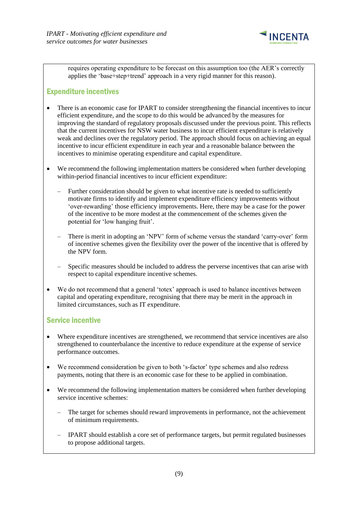

requires operating expenditure to be forecast on this assumption too (the AER's correctly applies the 'base+step+trend' approach in a very rigid manner for this reason).

### Expenditure incentives

- There is an economic case for IPART to consider strengthening the financial incentives to incur efficient expenditure, and the scope to do this would be advanced by the measures for improving the standard of regulatory proposals discussed under the previous point. This reflects that the current incentives for NSW water business to incur efficient expenditure is relatively weak and declines over the regulatory period. The approach should focus on achieving an equal incentive to incur efficient expenditure in each year and a reasonable balance between the incentives to minimise operating expenditure and capital expenditure.
- We recommend the following implementation matters be considered when further developing within-period financial incentives to incur efficient expenditure:
	- Further consideration should be given to what incentive rate is needed to sufficiently motivate firms to identify and implement expenditure efficiency improvements without 'over-rewarding' those efficiency improvements. Here, there may be a case for the power of the incentive to be more modest at the commencement of the schemes given the potential for 'low hanging fruit'.
	- There is merit in adopting an 'NPV' form of scheme versus the standard 'carry-over' form of incentive schemes given the flexibility over the power of the incentive that is offered by the NPV form.
	- Specific measures should be included to address the perverse incentives that can arise with respect to capital expenditure incentive schemes.
- We do not recommend that a general 'totex' approach is used to balance incentives between capital and operating expenditure, recognising that there may be merit in the approach in limited circumstances, such as IT expenditure.

### Service incentive

- Where expenditure incentives are strengthened, we recommend that service incentives are also strengthened to counterbalance the incentive to reduce expenditure at the expense of service performance outcomes.
- We recommend consideration be given to both 's-factor' type schemes and also redress payments, noting that there is an economic case for these to be applied in combination.
- We recommend the following implementation matters be considered when further developing service incentive schemes:
	- The target for schemes should reward improvements in performance, not the achievement of minimum requirements.
	- IPART should establish a core set of performance targets, but permit regulated businesses to propose additional targets.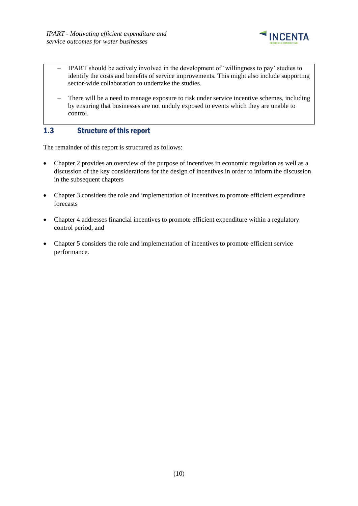

- IPART should be actively involved in the development of 'willingness to pay' studies to identify the costs and benefits of service improvements. This might also include supporting sector-wide collaboration to undertake the studies.
- There will be a need to manage exposure to risk under service incentive schemes, including by ensuring that businesses are not unduly exposed to events which they are unable to control.

### <span id="page-13-0"></span>1.3 Structure of this report

The remainder of this report is structured as follows:

- Chapter 2 provides an overview of the purpose of incentives in economic regulation as well as a discussion of the key considerations for the design of incentives in order to inform the discussion in the subsequent chapters
- Chapter 3 considers the role and implementation of incentives to promote efficient expenditure forecasts
- Chapter 4 addresses financial incentives to promote efficient expenditure within a regulatory control period, and
- Chapter 5 considers the role and implementation of incentives to promote efficient service performance.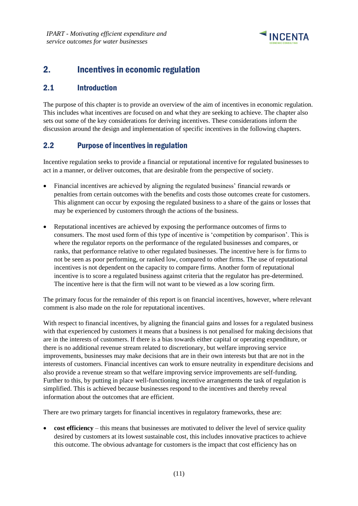

# <span id="page-14-0"></span>2. Incentives in economic regulation

### <span id="page-14-1"></span>2.1 Introduction

The purpose of this chapter is to provide an overview of the aim of incentives in economic regulation. This includes what incentives are focused on and what they are seeking to achieve. The chapter also sets out some of the key considerations for deriving incentives. These considerations inform the discussion around the design and implementation of specific incentives in the following chapters.

### <span id="page-14-2"></span>2.2 Purpose of incentives in regulation

Incentive regulation seeks to provide a financial or reputational incentive for regulated businesses to act in a manner, or deliver outcomes, that are desirable from the perspective of society.

- Financial incentives are achieved by aligning the regulated business' financial rewards or penalties from certain outcomes with the benefits and costs those outcomes create for customers. This alignment can occur by exposing the regulated business to a share of the gains or losses that may be experienced by customers through the actions of the business.
- Reputational incentives are achieved by exposing the performance outcomes of firms to consumers. The most used form of this type of incentive is 'competition by comparison'. This is where the regulator reports on the performance of the regulated businesses and compares, or ranks, that performance relative to other regulated businesses. The incentive here is for firms to not be seen as poor performing, or ranked low, compared to other firms. The use of reputational incentives is not dependent on the capacity to compare firms. Another form of reputational incentive is to score a regulated business against criteria that the regulator has pre-determined. The incentive here is that the firm will not want to be viewed as a low scoring firm.

The primary focus for the remainder of this report is on financial incentives, however, where relevant comment is also made on the role for reputational incentives.

With respect to financial incentives, by aligning the financial gains and losses for a regulated business with that experienced by customers it means that a business is not penalised for making decisions that are in the interests of customers. If there is a bias towards either capital or operating expenditure, or there is no additional revenue stream related to discretionary, but welfare improving service improvements, businesses may make decisions that are in their own interests but that are not in the interests of customers. Financial incentives can work to ensure neutrality in expenditure decisions and also provide a revenue stream so that welfare improving service improvements are self-funding. Further to this, by putting in place well-functioning incentive arrangements the task of regulation is simplified. This is achieved because businesses respond to the incentives and thereby reveal information about the outcomes that are efficient.

There are two primary targets for financial incentives in regulatory frameworks, these are:

• **cost efficiency** – this means that businesses are motivated to deliver the level of service quality desired by customers at its lowest sustainable cost, this includes innovative practices to achieve this outcome. The obvious advantage for customers is the impact that cost efficiency has on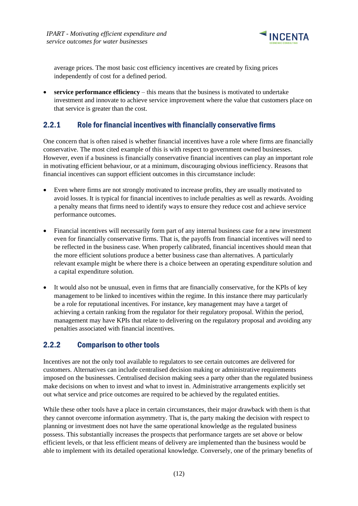

average prices. The most basic cost efficiency incentives are created by fixing prices independently of cost for a defined period.

• **service performance efficiency** – this means that the business is motivated to undertake investment and innovate to achieve service improvement where the value that customers place on that service is greater than the cost.

### <span id="page-15-0"></span>2.2.1 Role for financial incentives with financially conservative firms

One concern that is often raised is whether financial incentives have a role where firms are financially conservative. The most cited example of this is with respect to government owned businesses. However, even if a business is financially conservative financial incentives can play an important role in motivating efficient behaviour, or at a minimum, discouraging obvious inefficiency. Reasons that financial incentives can support efficient outcomes in this circumstance include:

- Even where firms are not strongly motivated to increase profits, they are usually motivated to avoid losses. It is typical for financial incentives to include penalties as well as rewards. Avoiding a penalty means that firms need to identify ways to ensure they reduce cost and achieve service performance outcomes.
- Financial incentives will necessarily form part of any internal business case for a new investment even for financially conservative firms. That is, the payoffs from financial incentives will need to be reflected in the business case. When properly calibrated, financial incentives should mean that the more efficient solutions produce a better business case than alternatives. A particularly relevant example might be where there is a choice between an operating expenditure solution and a capital expenditure solution.
- It would also not be unusual, even in firms that are financially conservative, for the KPIs of key management to be linked to incentives within the regime. In this instance there may particularly be a role for reputational incentives. For instance, key management may have a target of achieving a certain ranking from the regulator for their regulatory proposal. Within the period, management may have KPIs that relate to delivering on the regulatory proposal and avoiding any penalties associated with financial incentives.

### <span id="page-15-1"></span>2.2.2 Comparison to other tools

Incentives are not the only tool available to regulators to see certain outcomes are delivered for customers. Alternatives can include centralised decision making or administrative requirements imposed on the businesses. Centralised decision making sees a party other than the regulated business make decisions on when to invest and what to invest in. Administrative arrangements explicitly set out what service and price outcomes are required to be achieved by the regulated entities.

While these other tools have a place in certain circumstances, their major drawback with them is that they cannot overcome information asymmetry. That is, the party making the decision with respect to planning or investment does not have the same operational knowledge as the regulated business possess. This substantially increases the prospects that performance targets are set above or below efficient levels, or that less efficient means of delivery are implemented than the business would be able to implement with its detailed operational knowledge. Conversely, one of the primary benefits of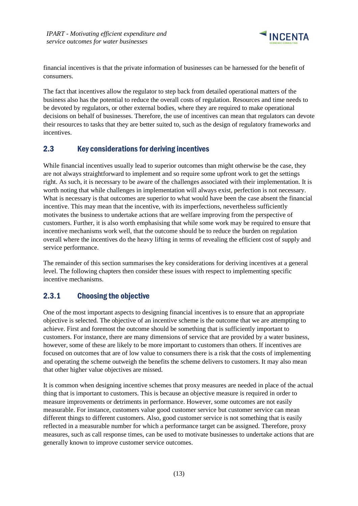

financial incentives is that the private information of businesses can be harnessed for the benefit of consumers.

The fact that incentives allow the regulator to step back from detailed operational matters of the business also has the potential to reduce the overall costs of regulation. Resources and time needs to be devoted by regulators, or other external bodies, where they are required to make operational decisions on behalf of businesses. Therefore, the use of incentives can mean that regulators can devote their resources to tasks that they are better suited to, such as the design of regulatory frameworks and incentives.

### <span id="page-16-0"></span>2.3 Key considerations for deriving incentives

While financial incentives usually lead to superior outcomes than might otherwise be the case, they are not always straightforward to implement and so require some upfront work to get the settings right. As such, it is necessary to be aware of the challenges associated with their implementation. It is worth noting that while challenges in implementation will always exist, perfection is not necessary. What is necessary is that outcomes are superior to what would have been the case absent the financial incentive. This may mean that the incentive, with its imperfections, nevertheless sufficiently motivates the business to undertake actions that are welfare improving from the perspective of customers. Further, it is also worth emphasising that while some work may be required to ensure that incentive mechanisms work well, that the outcome should be to reduce the burden on regulation overall where the incentives do the heavy lifting in terms of revealing the efficient cost of supply and service performance.

The remainder of this section summarises the key considerations for deriving incentives at a general level. The following chapters then consider these issues with respect to implementing specific incentive mechanisms.

# <span id="page-16-1"></span>2.3.1 Choosing the objective

One of the most important aspects to designing financial incentives is to ensure that an appropriate objective is selected. The objective of an incentive scheme is the outcome that we are attempting to achieve. First and foremost the outcome should be something that is sufficiently important to customers. For instance, there are many dimensions of service that are provided by a water business, however, some of these are likely to be more important to customers than others. If incentives are focused on outcomes that are of low value to consumers there is a risk that the costs of implementing and operating the scheme outweigh the benefits the scheme delivers to customers. It may also mean that other higher value objectives are missed.

It is common when designing incentive schemes that proxy measures are needed in place of the actual thing that is important to customers. This is because an objective measure is required in order to measure improvements or detriments in performance. However, some outcomes are not easily measurable. For instance, customers value good customer service but customer service can mean different things to different customers. Also, good customer service is not something that is easily reflected in a measurable number for which a performance target can be assigned. Therefore, proxy measures, such as call response times, can be used to motivate businesses to undertake actions that are generally known to improve customer service outcomes.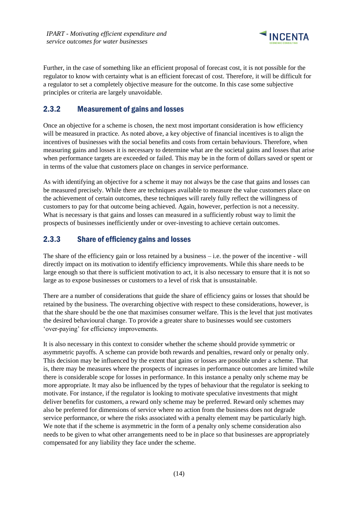

Further, in the case of something like an efficient proposal of forecast cost, it is not possible for the regulator to know with certainty what is an efficient forecast of cost. Therefore, it will be difficult for a regulator to set a completely objective measure for the outcome. In this case some subjective principles or criteria are largely unavoidable.

### <span id="page-17-0"></span>2.3.2 Measurement of gains and losses

Once an objective for a scheme is chosen, the next most important consideration is how efficiency will be measured in practice. As noted above, a key objective of financial incentives is to align the incentives of businesses with the social benefits and costs from certain behaviours. Therefore, when measuring gains and losses it is necessary to determine what are the societal gains and losses that arise when performance targets are exceeded or failed. This may be in the form of dollars saved or spent or in terms of the value that customers place on changes in service performance.

As with identifying an objective for a scheme it may not always be the case that gains and losses can be measured precisely. While there are techniques available to measure the value customers place on the achievement of certain outcomes, these techniques will rarely fully reflect the willingness of customers to pay for that outcome being achieved. Again, however, perfection is not a necessity. What is necessary is that gains and losses can measured in a sufficiently robust way to limit the prospects of businesses inefficiently under or over-investing to achieve certain outcomes.

### <span id="page-17-1"></span>2.3.3 Share of efficiency gains and losses

The share of the efficiency gain or loss retained by a business  $-$  i.e. the power of the incentive - will directly impact on its motivation to identify efficiency improvements. While this share needs to be large enough so that there is sufficient motivation to act, it is also necessary to ensure that it is not so large as to expose businesses or customers to a level of risk that is unsustainable.

There are a number of considerations that guide the share of efficiency gains or losses that should be retained by the business. The overarching objective with respect to these considerations, however, is that the share should be the one that maximises consumer welfare. This is the level that just motivates the desired behavioural change. To provide a greater share to businesses would see customers 'over-paying' for efficiency improvements.

It is also necessary in this context to consider whether the scheme should provide symmetric or asymmetric payoffs. A scheme can provide both rewards and penalties, reward only or penalty only. This decision may be influenced by the extent that gains or losses are possible under a scheme. That is, there may be measures where the prospects of increases in performance outcomes are limited while there is considerable scope for losses in performance. In this instance a penalty only scheme may be more appropriate. It may also be influenced by the types of behaviour that the regulator is seeking to motivate. For instance, if the regulator is looking to motivate speculative investments that might deliver benefits for customers, a reward only scheme may be preferred. Reward only schemes may also be preferred for dimensions of service where no action from the business does not degrade service performance, or where the risks associated with a penalty element may be particularly high. We note that if the scheme is asymmetric in the form of a penalty only scheme consideration also needs to be given to what other arrangements need to be in place so that businesses are appropriately compensated for any liability they face under the scheme.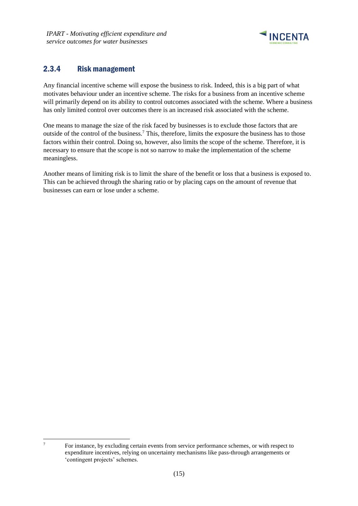

## <span id="page-18-0"></span>2.3.4 Risk management

Any financial incentive scheme will expose the business to risk. Indeed, this is a big part of what motivates behaviour under an incentive scheme. The risks for a business from an incentive scheme will primarily depend on its ability to control outcomes associated with the scheme. Where a business has only limited control over outcomes there is an increased risk associated with the scheme.

One means to manage the size of the risk faced by businesses is to exclude those factors that are outside of the control of the business.<sup>7</sup> This, therefore, limits the exposure the business has to those factors within their control. Doing so, however, also limits the scope of the scheme. Therefore, it is necessary to ensure that the scope is not so narrow to make the implementation of the scheme meaningless.

Another means of limiting risk is to limit the share of the benefit or loss that a business is exposed to. This can be achieved through the sharing ratio or by placing caps on the amount of revenue that businesses can earn or lose under a scheme.

<sup>7</sup> For instance, by excluding certain events from service performance schemes, or with respect to expenditure incentives, relying on uncertainty mechanisms like pass-through arrangements or 'contingent projects' schemes.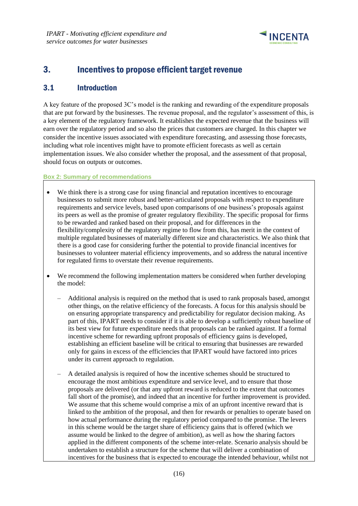

# <span id="page-19-0"></span>3. Incentives to propose efficient target revenue

### <span id="page-19-1"></span>3.1 Introduction

A key feature of the proposed 3C's model is the ranking and rewarding of the expenditure proposals that are put forward by the businesses. The revenue proposal, and the regulator's assessment of this, is a key element of the regulatory framework. It establishes the expected revenue that the business will earn over the regulatory period and so also the prices that customers are charged. In this chapter we consider the incentive issues associated with expenditure forecasting, and assessing those forecasts, including what role incentives might have to promote efficient forecasts as well as certain implementation issues. We also consider whether the proposal, and the assessment of that proposal, should focus on outputs or outcomes.

### **Box 2: Summary of recommendations**

- We think there is a strong case for using financial and reputation incentives to encourage businesses to submit more robust and better-articulated proposals with respect to expenditure requirements and service levels, based upon comparisons of one business's proposals against its peers as well as the promise of greater regulatory flexibility. The specific proposal for firms to be rewarded and ranked based on their proposal, and for differences in the flexibility/complexity of the regulatory regime to flow from this, has merit in the context of multiple regulated businesses of materially different size and characteristics. We also think that there is a good case for considering further the potential to provide financial incentives for businesses to volunteer material efficiency improvements, and so address the natural incentive for regulated firms to overstate their revenue requirements.
- We recommend the following implementation matters be considered when further developing the model:
	- Additional analysis is required on the method that is used to rank proposals based, amongst other things, on the relative efficiency of the forecasts. A focus for this analysis should be on ensuring appropriate transparency and predictability for regulator decision making. As part of this, IPART needs to consider if it is able to develop a sufficiently robust baseline of its best view for future expenditure needs that proposals can be ranked against. If a formal incentive scheme for rewarding upfront proposals of efficiency gains is developed, establishing an efficient baseline will be critical to ensuring that businesses are rewarded only for gains in excess of the efficiencies that IPART would have factored into prices under its current approach to regulation.
	- A detailed analysis is required of how the incentive schemes should be structured to encourage the most ambitious expenditure and service level, and to ensure that those proposals are delivered (or that any upfront reward is reduced to the extent that outcomes fall short of the promise), and indeed that an incentive for further improvement is provided. We assume that this scheme would comprise a mix of an upfront incentive reward that is linked to the ambition of the proposal, and then for rewards or penalties to operate based on how actual performance during the regulatory period compared to the promise. The levers in this scheme would be the target share of efficiency gains that is offered (which we assume would be linked to the degree of ambition), as well as how the sharing factors applied in the different components of the scheme inter-relate. Scenario analysis should be undertaken to establish a structure for the scheme that will deliver a combination of incentives for the business that is expected to encourage the intended behaviour, whilst not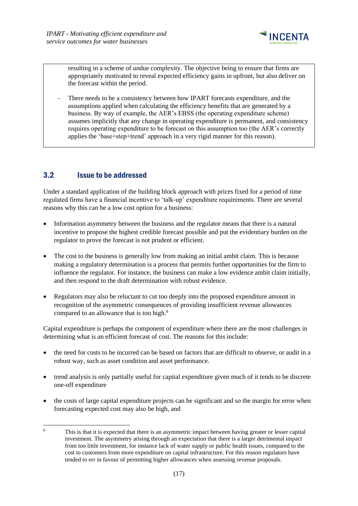

resulting in a scheme of undue complexity. The objective being to ensure that firms are appropriately motivated to reveal expected efficiency gains in upfront, but also deliver on the forecast within the period.

– There needs to be a consistency between how IPART forecasts expenditure, and the assumptions applied when calculating the efficiency benefits that are generated by a business. By way of example, the AER's EBSS (the operating expenditure scheme) assumes implicitly that any change in operating expenditure is permanent, and consistency requires operating expenditure to be forecast on this assumption too (the AER's correctly applies the 'base+step+trend' approach in a very rigid manner for this reason).

# <span id="page-20-0"></span>3.2 Issue to be addressed

Under a standard application of the building block approach with prices fixed for a period of time regulated firms have a financial incentive to 'talk-up' expenditure requirements. There are several reasons why this can be a low cost option for a business:

- Information asymmetry between the business and the regulator means that there is a natural incentive to propose the highest credible forecast possible and put the evidentiary burden on the regulator to prove the forecast is not prudent or efficient.
- The cost to the business is generally low from making an initial ambit claim. This is because making a regulatory determination is a process that permits further opportunities for the firm to influence the regulator. For instance, the business can make a low evidence ambit claim initially, and then respond to the draft determination with robust evidence.
- Regulators may also be reluctant to cut too deeply into the proposed expenditure amount in recognition of the asymmetric consequences of providing insufficient revenue allowances compared to an allowance that is too high.<sup>8</sup>

Capital expenditure is perhaps the component of expenditure where there are the most challenges in determining what is an efficient forecast of cost. The reasons for this include:

- the need for costs to be incurred can be based on factors that are difficult to observe, or audit in a robust way, such as asset condition and asset performance.
- trend analysis is only partially useful for capital expenditure given much of it tends to be discrete one-off expenditure
- the costs of large capital expenditure projects can be significant and so the margin for error when forecasting expected cost may also be high, and

<sup>8</sup> This is that it is expected that there is an asymmetric impact between having greater or lesser capital investment. The asymmetry arising through an expectation that there is a larger detrimental impact from too little investment, for instance lack of water supply or public health issues, compared to the cost to customers from more expenditure on capital infrastructure. For this reason regulators have tended to err in favour of permitting higher allowances when assessing revenue proposals.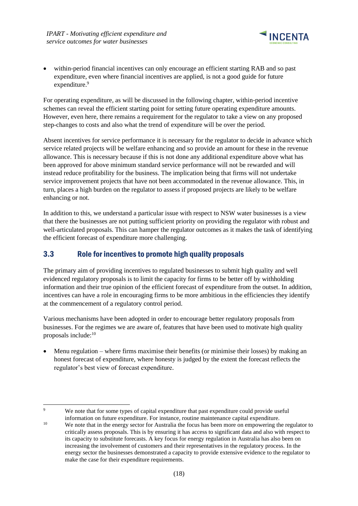

within-period financial incentives can only encourage an efficient starting RAB and so past expenditure, even where financial incentives are applied, is not a good guide for future expenditure.<sup>9</sup>

For operating expenditure, as will be discussed in the following chapter, within-period incentive schemes can reveal the efficient starting point for setting future operating expenditure amounts. However, even here, there remains a requirement for the regulator to take a view on any proposed step-changes to costs and also what the trend of expenditure will be over the period.

Absent incentives for service performance it is necessary for the regulator to decide in advance which service related projects will be welfare enhancing and so provide an amount for these in the revenue allowance. This is necessary because if this is not done any additional expenditure above what has been approved for above minimum standard service performance will not be rewarded and will instead reduce profitability for the business. The implication being that firms will not undertake service improvement projects that have not been accommodated in the revenue allowance. This, in turn, places a high burden on the regulator to assess if proposed projects are likely to be welfare enhancing or not.

In addition to this, we understand a particular issue with respect to NSW water businesses is a view that there the businesses are not putting sufficient priority on providing the regulator with robust and well-articulated proposals. This can hamper the regulator outcomes as it makes the task of identifying the efficient forecast of expenditure more challenging.

### <span id="page-21-0"></span>3.3 Role for incentives to promote high quality proposals

The primary aim of providing incentives to regulated businesses to submit high quality and well evidenced regulatory proposals is to limit the capacity for firms to be better off by withholding information and their true opinion of the efficient forecast of expenditure from the outset. In addition, incentives can have a role in encouraging firms to be more ambitious in the efficiencies they identify at the commencement of a regulatory control period.

Various mechanisms have been adopted in order to encourage better regulatory proposals from businesses. For the regimes we are aware of, features that have been used to motivate high quality proposals include:<sup>10</sup>

• Menu regulation – where firms maximise their benefits (or minimise their losses) by making an honest forecast of expenditure, where honesty is judged by the extent the forecast reflects the regulator's best view of forecast expenditure.

<sup>&</sup>lt;sup>9</sup> We note that for some types of capital expenditure that past expenditure could provide useful information on future expenditure. For instance, routine maintenance capital expenditure.

<sup>&</sup>lt;sup>10</sup> We note that in the energy sector for Australia the focus has been more on empowering the regulator to critically assess proposals. This is by ensuring it has access to significant data and also with respect to its capacity to substitute forecasts. A key focus for energy regulation in Australia has also been on increasing the involvement of customers and their representatives in the regulatory process. In the energy sector the businesses demonstrated a capacity to provide extensive evidence to the regulator to make the case for their expenditure requirements.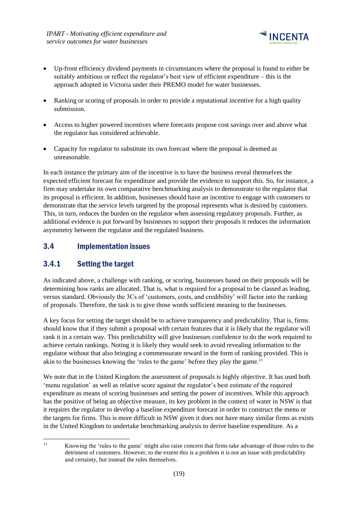

- Up-front efficiency dividend payments in circumstances where the proposal is found to either be suitably ambitious or reflect the regulator's best view of efficient expenditure – this is the approach adopted in Victoria under their PREMO model for water businesses.
- Ranking or scoring of proposals in order to provide a reputational incentive for a high quality submission.
- Access to higher powered incentives where forecasts propose cost savings over and above what the regulator has considered achievable.
- Capacity for regulator to substitute its own forecast where the proposal is deemed as unreasonable.

In each instance the primary aim of the incentive is to have the business reveal themselves the expected efficient forecast for expenditure and provide the evidence to support this. So, for instance, a firm may undertake its own comparative benchmarking analysis to demonstrate to the regulator that its proposal is efficient. In addition, businesses should have an incentive to engage with customers to demonstrate that the service levels targeted by the proposal represents what is desired by customers. This, in turn, reduces the burden on the regulator when assessing regulatory proposals. Further, as additional evidence is put forward by businesses to support their proposals it reduces the information asymmetry between the regulator and the regulated business.

# <span id="page-22-0"></span>3.4 Implementation issues

# <span id="page-22-1"></span>3.4.1 Setting the target

As indicated above, a challenge with ranking, or scoring, businesses based on their proposals will be determining how ranks are allocated. That is, what is required for a proposal to be classed as leading, versus standard. Obviously the 3Cs of 'customers, costs, and credibility' will factor into the ranking of proposals. Therefore, the task is to give those words sufficient meaning to the businesses.

A key focus for setting the target should be to achieve transparency and predictability. That is, firms should know that if they submit a proposal with certain features that it is likely that the regulator will rank it in a certain way. This predictability will give businesses confidence to do the work required to achieve certain rankings. Noting it is likely they would seek to avoid revealing information to the regulator without that also bringing a commensurate reward in the form of ranking provided. This is akin to the businesses knowing the 'rules to the game' before they play the game.<sup>11</sup>

We note that in the United Kingdom the assessment of proposals is highly objective. It has used both 'menu regulation' as well as relative score against the regulator's best estimate of the required expenditure as means of scoring businesses and setting the power of incentives. While this approach has the positive of being an objective measure, its key problem in the context of water in NSW is that it requires the regulator to develop a baseline expenditure forecast in order to construct the menu or the targets for firms. This is more difficult in NSW given it does not have many similar firms as exists in the United Kingdom to undertake benchmarking analysis to derive baseline expenditure. As a

<sup>&</sup>lt;sup>11</sup> Knowing the 'rules to the game' might also raise concern that firms take advantage of those rules to the detriment of customers. However, to the extent this is a problem it is not an issue with predictability and certainty, but instead the rules themselves.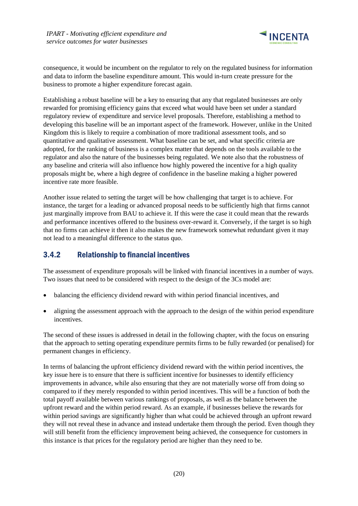

consequence, it would be incumbent on the regulator to rely on the regulated business for information and data to inform the baseline expenditure amount. This would in-turn create pressure for the business to promote a higher expenditure forecast again.

Establishing a robust baseline will be a key to ensuring that any that regulated businesses are only rewarded for promising efficiency gains that exceed what would have been set under a standard regulatory review of expenditure and service level proposals. Therefore, establishing a method to developing this baseline will be an important aspect of the framework. However, unlike in the United Kingdom this is likely to require a combination of more traditional assessment tools, and so quantitative and qualitative assessment. What baseline can be set, and what specific criteria are adopted, for the ranking of business is a complex matter that depends on the tools available to the regulator and also the nature of the businesses being regulated. We note also that the robustness of any baseline and criteria will also influence how highly powered the incentive for a high quality proposals might be, where a high degree of confidence in the baseline making a higher powered incentive rate more feasible.

Another issue related to setting the target will be how challenging that target is to achieve. For instance, the target for a leading or advanced proposal needs to be sufficiently high that firms cannot just marginally improve from BAU to achieve it. If this were the case it could mean that the rewards and performance incentives offered to the business over-reward it. Conversely, if the target is so high that no firms can achieve it then it also makes the new framework somewhat redundant given it may not lead to a meaningful difference to the status quo.

## <span id="page-23-0"></span>3.4.2 Relationship to financial incentives

The assessment of expenditure proposals will be linked with financial incentives in a number of ways. Two issues that need to be considered with respect to the design of the 3Cs model are:

- balancing the efficiency dividend reward with within period financial incentives, and
- aligning the assessment approach with the approach to the design of the within period expenditure incentives.

The second of these issues is addressed in detail in the following chapter, with the focus on ensuring that the approach to setting operating expenditure permits firms to be fully rewarded (or penalised) for permanent changes in efficiency.

In terms of balancing the upfront efficiency dividend reward with the within period incentives, the key issue here is to ensure that there is sufficient incentive for businesses to identify efficiency improvements in advance, while also ensuring that they are not materially worse off from doing so compared to if they merely responded to within period incentives. This will be a function of both the total payoff available between various rankings of proposals, as well as the balance between the upfront reward and the within period reward. As an example, if businesses believe the rewards for within period savings are significantly higher than what could be achieved through an upfront reward they will not reveal these in advance and instead undertake them through the period. Even though they will still benefit from the efficiency improvement being achieved, the consequence for customers in this instance is that prices for the regulatory period are higher than they need to be.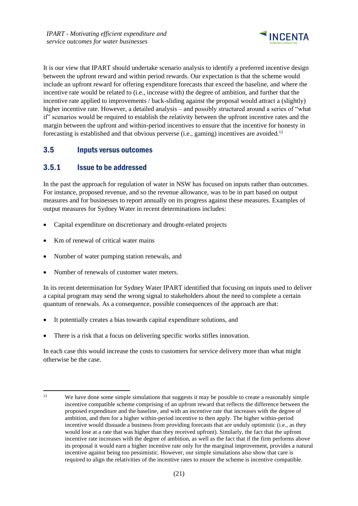

It is our view that IPART should undertake scenario analysis to identify a preferred incentive design between the upfront reward and within period rewards. Our expectation is that the scheme would include an upfront reward for offering expenditure forecasts that exceed the baseline, and where the incentive rate would be related to (i.e., increase with) the degree of ambition, and further that the incentive rate applied to improvements / back-sliding against the proposal would attract a (slightly) higher incentive rate. However, a detailed analysis – and possibly structured around a series of "what if" scenarios would be required to establish the relativity between the upfront incentive rates and the margin between the upfront and within-period incentives to ensure that the incentive for honesty in forecasting is established and that obvious perverse (i.e., gaming) incentives are avoided.<sup>12</sup>

# <span id="page-24-0"></span>3.5 Inputs versus outcomes

### <span id="page-24-1"></span>3.5.1 Issue to be addressed

In the past the approach for regulation of water in NSW has focused on inputs rather than outcomes. For instance, proposed revenue, and so the revenue allowance, was to be in part based on output measures and for businesses to report annually on its progress against these measures. Examples of output measures for Sydney Water in recent determinations includes:

- Capital expenditure on discretionary and drought-related projects
- Km of renewal of critical water mains
- Number of water pumping station renewals, and
- Number of renewals of customer water meters.

In its recent determination for Sydney Water IPART identified that focusing on inputs used to deliver a capital program may send the wrong signal to stakeholders about the need to complete a certain quantum of renewals. As a consequence, possible consequences of the approach are that:

- It potentially creates a bias towards capital expenditure solutions, and
- There is a risk that a focus on delivering specific works stifles innovation.

In each case this would increase the costs to customers for service delivery more than what might otherwise be the case.

<sup>&</sup>lt;sup>12</sup> We have done some simple simulations that suggests it may be possible to create a reasonably simple incentive compatible scheme comprising of an upfront reward that reflects the difference between the proposed expenditure and the baseline, and with an incentive rate that increases with the degree of ambition, and then for a higher within-period incentive to then apply. The higher within-period incentive would dissuade a business from providing forecasts that are unduly optimistic (i.e., as they would lose at a rate that was higher than they received upfront). Similarly, the fact that the upfront incentive rate increases with the degree of ambition, as well as the fact that if the firm performs above its proposal it would earn a higher incentive rate only for the marginal improvement, provides a natural incentive against being too pessimistic. However, our simple simulations also show that care is required to align the relativities of the incentive rates to ensure the scheme is incentive compatible.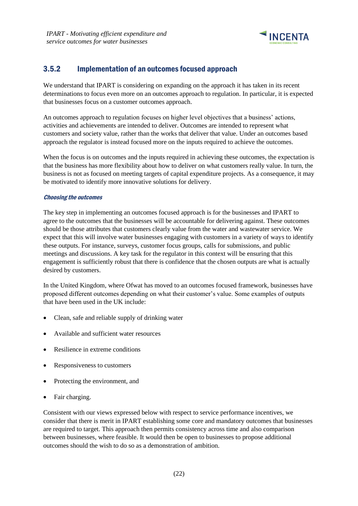

## <span id="page-25-0"></span>3.5.2 Implementation of an outcomes focused approach

We understand that IPART is considering on expanding on the approach it has taken in its recent determinations to focus even more on an outcomes approach to regulation. In particular, it is expected that businesses focus on a customer outcomes approach.

An outcomes approach to regulation focuses on higher level objectives that a business' actions, activities and achievements are intended to deliver. Outcomes are intended to represent what customers and society value, rather than the works that deliver that value. Under an outcomes based approach the regulator is instead focused more on the inputs required to achieve the outcomes.

When the focus is on outcomes and the inputs required in achieving these outcomes, the expectation is that the business has more flexibility about how to deliver on what customers really value. In turn, the business is not as focused on meeting targets of capital expenditure projects. As a consequence, it may be motivated to identify more innovative solutions for delivery.

### Choosing the outcomes

The key step in implementing an outcomes focused approach is for the businesses and IPART to agree to the outcomes that the businesses will be accountable for delivering against. These outcomes should be those attributes that customers clearly value from the water and wastewater service. We expect that this will involve water businesses engaging with customers in a variety of ways to identify these outputs. For instance, surveys, customer focus groups, calls for submissions, and public meetings and discussions. A key task for the regulator in this context will be ensuring that this engagement is sufficiently robust that there is confidence that the chosen outputs are what is actually desired by customers.

In the United Kingdom, where Ofwat has moved to an outcomes focused framework, businesses have proposed different outcomes depending on what their customer's value. Some examples of outputs that have been used in the UK include:

- Clean, safe and reliable supply of drinking water
- Available and sufficient water resources
- Resilience in extreme conditions
- Responsiveness to customers
- Protecting the environment, and
- Fair charging.

Consistent with our views expressed below with respect to service performance incentives, we consider that there is merit in IPART establishing some core and mandatory outcomes that businesses are required to target. This approach then permits consistency across time and also comparison between businesses, where feasible. It would then be open to businesses to propose additional outcomes should the wish to do so as a demonstration of ambition.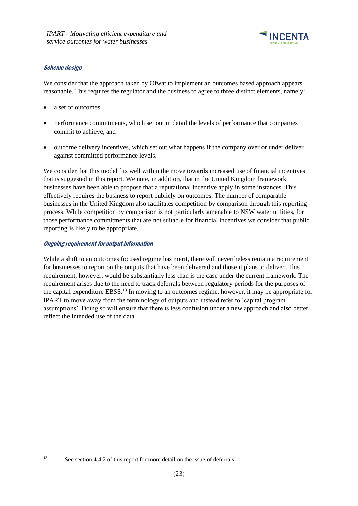

### Scheme design

We consider that the approach taken by Ofwat to implement an outcomes based approach appears reasonable. This requires the regulator and the business to agree to three distinct elements, namely:

- a set of outcomes
- Performance commitments, which set out in detail the levels of performance that companies commit to achieve, and
- outcome delivery incentives, which set out what happens if the company over or under deliver against committed performance levels.

We consider that this model fits well within the move towards increased use of financial incentives that is suggested in this report. We note, in addition, that in the United Kingdom framework businesses have been able to propose that a reputational incentive apply in some instances. This effectively requires the business to report publicly on outcomes. The number of comparable businesses in the United Kingdom also facilitates competition by comparison through this reporting process. While competition by comparison is not particularly amenable to NSW water utilities, for those performance commitments that are not suitable for financial incentives we consider that public reporting is likely to be appropriate.

### Ongoing requirement for output information

While a shift to an outcomes focused regime has merit, there will nevertheless remain a requirement for businesses to report on the outputs that have been delivered and those it plans to deliver. This requirement, however, would be substantially less than is the case under the current framework. The requirement arises due to the need to track deferrals between regulatory periods for the purposes of the capital expenditure EBSS.<sup>13</sup> In moving to an outcomes regime, however, it may be appropriate for IPART to move away from the terminology of outputs and instead refer to 'capital program assumptions'. Doing so will ensure that there is less confusion under a new approach and also better reflect the intended use of the data.

<sup>&</sup>lt;sup>13</sup> See section [4.4.2](#page-32-0) of this report for more detail on the issue of deferrals.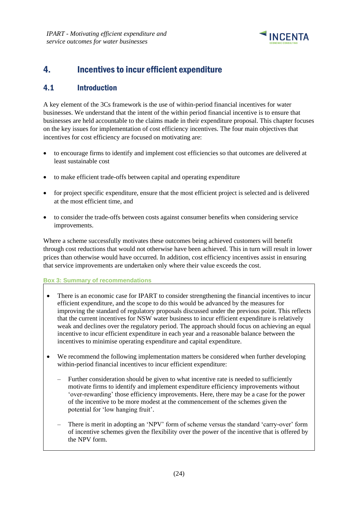

# <span id="page-27-0"></span>4. Incentives to incur efficient expenditure

### <span id="page-27-1"></span>4.1 Introduction

A key element of the 3Cs framework is the use of within-period financial incentives for water businesses. We understand that the intent of the within period financial incentive is to ensure that businesses are held accountable to the claims made in their expenditure proposal. This chapter focuses on the key issues for implementation of cost efficiency incentives. The four main objectives that incentives for cost efficiency are focused on motivating are:

- to encourage firms to identify and implement cost efficiencies so that outcomes are delivered at least sustainable cost
- to make efficient trade-offs between capital and operating expenditure
- for project specific expenditure, ensure that the most efficient project is selected and is delivered at the most efficient time, and
- to consider the trade-offs between costs against consumer benefits when considering service improvements.

Where a scheme successfully motivates these outcomes being achieved customers will benefit through cost reductions that would not otherwise have been achieved. This in turn will result in lower prices than otherwise would have occurred. In addition, cost efficiency incentives assist in ensuring that service improvements are undertaken only where their value exceeds the cost.

### **Box 3: Summary of recommendations**

- There is an economic case for IPART to consider strengthening the financial incentives to incur efficient expenditure, and the scope to do this would be advanced by the measures for improving the standard of regulatory proposals discussed under the previous point. This reflects that the current incentives for NSW water business to incur efficient expenditure is relatively weak and declines over the regulatory period. The approach should focus on achieving an equal incentive to incur efficient expenditure in each year and a reasonable balance between the incentives to minimise operating expenditure and capital expenditure.
- We recommend the following implementation matters be considered when further developing within-period financial incentives to incur efficient expenditure:
	- Further consideration should be given to what incentive rate is needed to sufficiently motivate firms to identify and implement expenditure efficiency improvements without 'over-rewarding' those efficiency improvements. Here, there may be a case for the power of the incentive to be more modest at the commencement of the schemes given the potential for 'low hanging fruit'.
	- There is merit in adopting an 'NPV' form of scheme versus the standard 'carry-over' form of incentive schemes given the flexibility over the power of the incentive that is offered by the NPV form.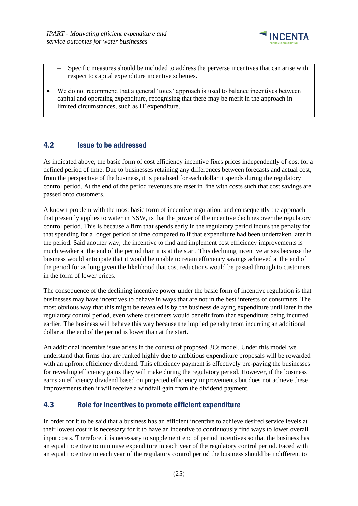

- Specific measures should be included to address the perverse incentives that can arise with respect to capital expenditure incentive schemes.
- We do not recommend that a general 'totex' approach is used to balance incentives between capital and operating expenditure, recognising that there may be merit in the approach in limited circumstances, such as IT expenditure.

### <span id="page-28-0"></span>4.2 Issue to be addressed

As indicated above, the basic form of cost efficiency incentive fixes prices independently of cost for a defined period of time. Due to businesses retaining any differences between forecasts and actual cost, from the perspective of the business, it is penalised for each dollar it spends during the regulatory control period. At the end of the period revenues are reset in line with costs such that cost savings are passed onto customers.

A known problem with the most basic form of incentive regulation, and consequently the approach that presently applies to water in NSW, is that the power of the incentive declines over the regulatory control period. This is because a firm that spends early in the regulatory period incurs the penalty for that spending for a longer period of time compared to if that expenditure had been undertaken later in the period. Said another way, the incentive to find and implement cost efficiency improvements is much weaker at the end of the period than it is at the start. This declining incentive arises because the business would anticipate that it would be unable to retain efficiency savings achieved at the end of the period for as long given the likelihood that cost reductions would be passed through to customers in the form of lower prices.

The consequence of the declining incentive power under the basic form of incentive regulation is that businesses may have incentives to behave in ways that are not in the best interests of consumers. The most obvious way that this might be revealed is by the business delaying expenditure until later in the regulatory control period, even where customers would benefit from that expenditure being incurred earlier. The business will behave this way because the implied penalty from incurring an additional dollar at the end of the period is lower than at the start.

An additional incentive issue arises in the context of proposed 3Cs model. Under this model we understand that firms that are ranked highly due to ambitious expenditure proposals will be rewarded with an upfront efficiency dividend. This efficiency payment is effectively pre-paying the businesses for revealing efficiency gains they will make during the regulatory period. However, if the business earns an efficiency dividend based on projected efficiency improvements but does not achieve these improvements then it will receive a windfall gain from the dividend payment.

### <span id="page-28-1"></span>4.3 Role for incentives to promote efficient expenditure

In order for it to be said that a business has an efficient incentive to achieve desired service levels at their lowest cost it is necessary for it to have an incentive to continuously find ways to lower overall input costs. Therefore, it is necessary to supplement end of period incentives so that the business has an equal incentive to minimise expenditure in each year of the regulatory control period. Faced with an equal incentive in each year of the regulatory control period the business should be indifferent to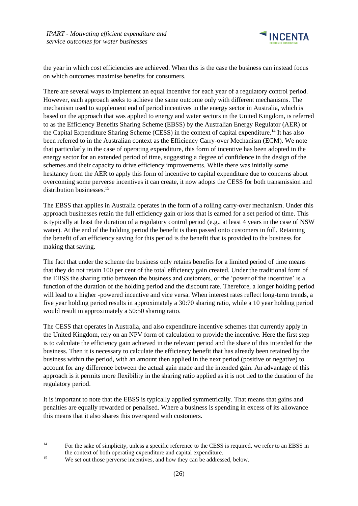

the year in which cost efficiencies are achieved. When this is the case the business can instead focus on which outcomes maximise benefits for consumers.

There are several ways to implement an equal incentive for each year of a regulatory control period. However, each approach seeks to achieve the same outcome only with different mechanisms. The mechanism used to supplement end of period incentives in the energy sector in Australia, which is based on the approach that was applied to energy and water sectors in the United Kingdom, is referred to as the Efficiency Benefits Sharing Scheme (EBSS) by the Australian Energy Regulator (AER) or the Capital Expenditure Sharing Scheme (CESS) in the context of capital expenditure. <sup>14</sup> It has also been referred to in the Australian context as the Efficiency Carry-over Mechanism (ECM). We note that particularly in the case of operating expenditure, this form of incentive has been adopted in the energy sector for an extended period of time, suggesting a degree of confidence in the design of the schemes and their capacity to drive efficiency improvements. While there was initially some hesitancy from the AER to apply this form of incentive to capital expenditure due to concerns about overcoming some perverse incentives it can create, it now adopts the CESS for both transmission and distribution businesses.<sup>15</sup>

The EBSS that applies in Australia operates in the form of a rolling carry-over mechanism. Under this approach businesses retain the full efficiency gain or loss that is earned for a set period of time. This is typically at least the duration of a regulatory control period (e.g., at least 4 years in the case of NSW water). At the end of the holding period the benefit is then passed onto customers in full. Retaining the benefit of an efficiency saving for this period is the benefit that is provided to the business for making that saving.

The fact that under the scheme the business only retains benefits for a limited period of time means that they do not retain 100 per cent of the total efficiency gain created. Under the traditional form of the EBSS the sharing ratio between the business and customers, or the 'power of the incentive' is a function of the duration of the holding period and the discount rate. Therefore, a longer holding period will lead to a higher -powered incentive and vice versa. When interest rates reflect long-term trends, a five year holding period results in approximately a 30:70 sharing ratio, while a 10 year holding period would result in approximately a 50:50 sharing ratio.

The CESS that operates in Australia, and also expenditure incentive schemes that currently apply in the United Kingdom, rely on an NPV form of calculation to provide the incentive. Here the first step is to calculate the efficiency gain achieved in the relevant period and the share of this intended for the business. Then it is necessary to calculate the efficiency benefit that has already been retained by the business within the period, with an amount then applied in the next period (positive or negative) to account for any difference between the actual gain made and the intended gain. An advantage of this approach is it permits more flexibility in the sharing ratio applied as it is not tied to the duration of the regulatory period.

It is important to note that the EBSS is typically applied symmetrically. That means that gains and penalties are equally rewarded or penalised. Where a business is spending in excess of its allowance this means that it also shares this overspend with customers.

<sup>&</sup>lt;sup>14</sup> For the sake of simplicity, unless a specific reference to the CESS is required, we refer to an EBSS in the context of both operating expenditure and capital expenditure.

<sup>&</sup>lt;sup>15</sup> We set out those perverse incentives, and how they can be addressed, below.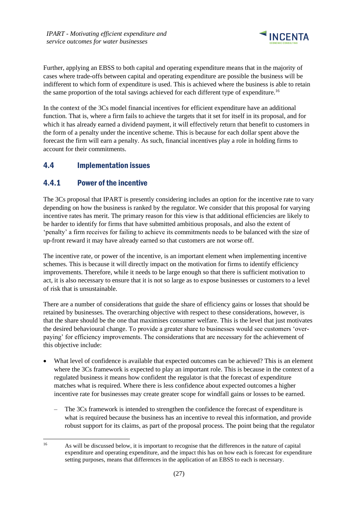

Further, applying an EBSS to both capital and operating expenditure means that in the majority of cases where trade-offs between capital and operating expenditure are possible the business will be indifferent to which form of expenditure is used. This is achieved where the business is able to retain the same proportion of the total savings achieved for each different type of expenditure.<sup>16</sup>

In the context of the 3Cs model financial incentives for efficient expenditure have an additional function. That is, where a firm fails to achieve the targets that it set for itself in its proposal, and for which it has already earned a dividend payment, it will effectively return that benefit to customers in the form of a penalty under the incentive scheme. This is because for each dollar spent above the forecast the firm will earn a penalty. As such, financial incentives play a role in holding firms to account for their commitments.

# <span id="page-30-0"></span>4.4 Implementation issues

# <span id="page-30-1"></span>4.4.1 Power of the incentive

The 3Cs proposal that IPART is presently considering includes an option for the incentive rate to vary depending on how the business is ranked by the regulator. We consider that this proposal for varying incentive rates has merit. The primary reason for this view is that additional efficiencies are likely to be harder to identify for firms that have submitted ambitious proposals, and also the extent of 'penalty' a firm receives for failing to achieve its commitments needs to be balanced with the size of up-front reward it may have already earned so that customers are not worse off.

The incentive rate, or power of the incentive, is an important element when implementing incentive schemes. This is because it will directly impact on the motivation for firms to identify efficiency improvements. Therefore, while it needs to be large enough so that there is sufficient motivation to act, it is also necessary to ensure that it is not so large as to expose businesses or customers to a level of risk that is unsustainable.

There are a number of considerations that guide the share of efficiency gains or losses that should be retained by businesses. The overarching objective with respect to these considerations, however, is that the share should be the one that maximises consumer welfare. This is the level that just motivates the desired behavioural change. To provide a greater share to businesses would see customers 'overpaying' for efficiency improvements. The considerations that are necessary for the achievement of this objective include:

- What level of confidence is available that expected outcomes can be achieved? This is an element where the 3Cs framework is expected to play an important role. This is because in the context of a regulated business it means how confident the regulator is that the forecast of expenditure matches what is required. Where there is less confidence about expected outcomes a higher incentive rate for businesses may create greater scope for windfall gains or losses to be earned.
	- The 3Cs framework is intended to strengthen the confidence the forecast of expenditure is what is required because the business has an incentive to reveal this information, and provide robust support for its claims, as part of the proposal process. The point being that the regulator

<sup>16</sup> As will be discussed below, it is important to recognise that the differences in the nature of capital expenditure and operating expenditure, and the impact this has on how each is forecast for expenditure setting purposes, means that differences in the application of an EBSS to each is necessary.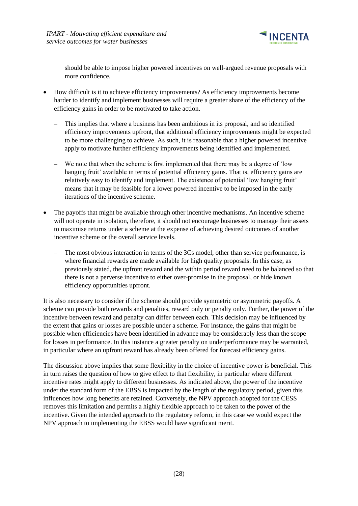

should be able to impose higher powered incentives on well-argued revenue proposals with more confidence.

- How difficult is it to achieve efficiency improvements? As efficiency improvements become harder to identify and implement businesses will require a greater share of the efficiency of the efficiency gains in order to be motivated to take action.
	- This implies that where a business has been ambitious in its proposal, and so identified efficiency improvements upfront, that additional efficiency improvements might be expected to be more challenging to achieve. As such, it is reasonable that a higher powered incentive apply to motivate further efficiency improvements being identified and implemented.
	- We note that when the scheme is first implemented that there may be a degree of 'low hanging fruit' available in terms of potential efficiency gains. That is, efficiency gains are relatively easy to identify and implement. The existence of potential 'low hanging fruit' means that it may be feasible for a lower powered incentive to be imposed in the early iterations of the incentive scheme.
- The payoffs that might be available through other incentive mechanisms. An incentive scheme will not operate in isolation, therefore, it should not encourage businesses to manage their assets to maximise returns under a scheme at the expense of achieving desired outcomes of another incentive scheme or the overall service levels.
	- The most obvious interaction in terms of the 3Cs model, other than service performance, is where financial rewards are made available for high quality proposals. In this case, as previously stated, the upfront reward and the within period reward need to be balanced so that there is not a perverse incentive to either over-promise in the proposal, or hide known efficiency opportunities upfront.

It is also necessary to consider if the scheme should provide symmetric or asymmetric payoffs. A scheme can provide both rewards and penalties, reward only or penalty only. Further, the power of the incentive between reward and penalty can differ between each. This decision may be influenced by the extent that gains or losses are possible under a scheme. For instance, the gains that might be possible when efficiencies have been identified in advance may be considerably less than the scope for losses in performance. In this instance a greater penalty on underperformance may be warranted, in particular where an upfront reward has already been offered for forecast efficiency gains.

The discussion above implies that some flexibility in the choice of incentive power is beneficial. This in turn raises the question of how to give effect to that flexibility, in particular where different incentive rates might apply to different businesses. As indicated above, the power of the incentive under the standard form of the EBSS is impacted by the length of the regulatory period, given this influences how long benefits are retained. Conversely, the NPV approach adopted for the CESS removes this limitation and permits a highly flexible approach to be taken to the power of the incentive. Given the intended approach to the regulatory reform, in this case we would expect the NPV approach to implementing the EBSS would have significant merit.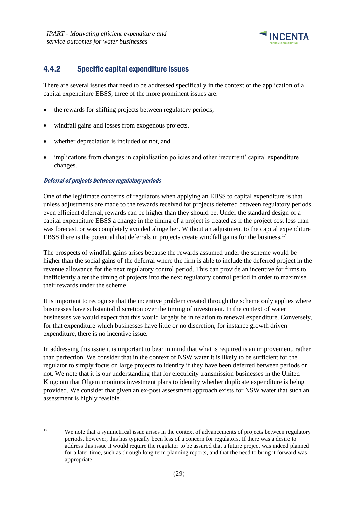

# <span id="page-32-0"></span>4.4.2 Specific capital expenditure issues

There are several issues that need to be addressed specifically in the context of the application of a capital expenditure EBSS, three of the more prominent issues are:

- the rewards for shifting projects between regulatory periods,
- windfall gains and losses from exogenous projects,
- whether depreciation is included or not, and
- implications from changes in capitalisation policies and other 'recurrent' capital expenditure changes.

### Deferral of projects between regulatory periods

One of the legitimate concerns of regulators when applying an EBSS to capital expenditure is that unless adjustments are made to the rewards received for projects deferred between regulatory periods, even efficient deferral, rewards can be higher than they should be. Under the standard design of a capital expenditure EBSS a change in the timing of a project is treated as if the project cost less than was forecast, or was completely avoided altogether. Without an adjustment to the capital expenditure EBSS there is the potential that deferrals in projects create windfall gains for the business.<sup>17</sup>

The prospects of windfall gains arises because the rewards assumed under the scheme would be higher than the social gains of the deferral where the firm is able to include the deferred project in the revenue allowance for the next regulatory control period. This can provide an incentive for firms to inefficiently alter the timing of projects into the next regulatory control period in order to maximise their rewards under the scheme.

It is important to recognise that the incentive problem created through the scheme only applies where businesses have substantial discretion over the timing of investment. In the context of water businesses we would expect that this would largely be in relation to renewal expenditure. Conversely, for that expenditure which businesses have little or no discretion, for instance growth driven expenditure, there is no incentive issue.

In addressing this issue it is important to bear in mind that what is required is an improvement, rather than perfection. We consider that in the context of NSW water it is likely to be sufficient for the regulator to simply focus on large projects to identify if they have been deferred between periods or not. We note that it is our understanding that for electricity transmission businesses in the United Kingdom that Ofgem monitors investment plans to identify whether duplicate expenditure is being provided. We consider that given an ex-post assessment approach exists for NSW water that such an assessment is highly feasible.

<sup>&</sup>lt;sup>17</sup> We note that a symmetrical issue arises in the context of advancements of projects between regulatory periods, however, this has typically been less of a concern for regulators. If there was a desire to address this issue it would require the regulator to be assured that a future project was indeed planned for a later time, such as through long term planning reports, and that the need to bring it forward was appropriate.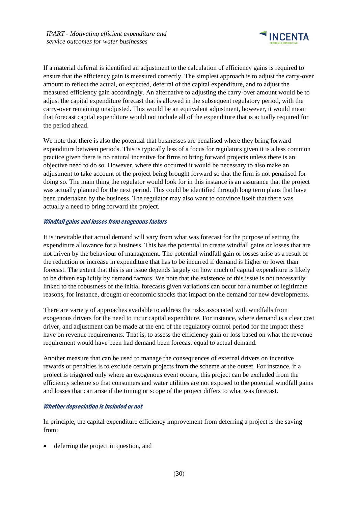

If a material deferral is identified an adjustment to the calculation of efficiency gains is required to ensure that the efficiency gain is measured correctly. The simplest approach is to adjust the carry-over amount to reflect the actual, or expected, deferral of the capital expenditure, and to adjust the measured efficiency gain accordingly. An alternative to adjusting the carry-over amount would be to adjust the capital expenditure forecast that is allowed in the subsequent regulatory period, with the carry-over remaining unadjusted. This would be an equivalent adjustment, however, it would mean that forecast capital expenditure would not include all of the expenditure that is actually required for the period ahead.

We note that there is also the potential that businesses are penalised where they bring forward expenditure between periods. This is typically less of a focus for regulators given it is a less common practice given there is no natural incentive for firms to bring forward projects unless there is an objective need to do so. However, where this occurred it would be necessary to also make an adjustment to take account of the project being brought forward so that the firm is not penalised for doing so. The main thing the regulator would look for in this instance is an assurance that the project was actually planned for the next period. This could be identified through long term plans that have been undertaken by the business. The regulator may also want to convince itself that there was actually a need to bring forward the project.

### Windfall gains and losses from exogenous factors

It is inevitable that actual demand will vary from what was forecast for the purpose of setting the expenditure allowance for a business. This has the potential to create windfall gains or losses that are not driven by the behaviour of management. The potential windfall gain or losses arise as a result of the reduction or increase in expenditure that has to be incurred if demand is higher or lower than forecast. The extent that this is an issue depends largely on how much of capital expenditure is likely to be driven explicitly by demand factors. We note that the existence of this issue is not necessarily linked to the robustness of the initial forecasts given variations can occur for a number of legitimate reasons, for instance, drought or economic shocks that impact on the demand for new developments.

There are variety of approaches available to address the risks associated with windfalls from exogenous drivers for the need to incur capital expenditure. For instance, where demand is a clear cost driver, and adjustment can be made at the end of the regulatory control period for the impact these have on revenue requirements. That is, to assess the efficiency gain or loss based on what the revenue requirement would have been had demand been forecast equal to actual demand.

Another measure that can be used to manage the consequences of external drivers on incentive rewards or penalties is to exclude certain projects from the scheme at the outset. For instance, if a project is triggered only where an exogenous event occurs, this project can be excluded from the efficiency scheme so that consumers and water utilities are not exposed to the potential windfall gains and losses that can arise if the timing or scope of the project differs to what was forecast.

#### Whether depreciation is included or not

In principle, the capital expenditure efficiency improvement from deferring a project is the saving from:

deferring the project in question, and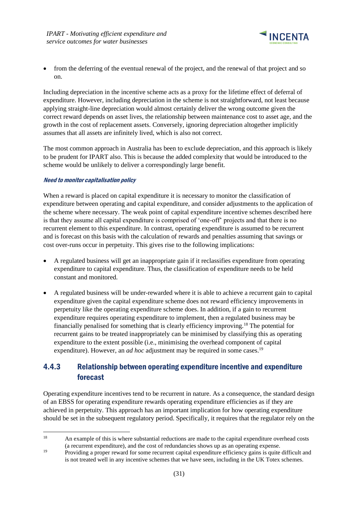

• from the deferring of the eventual renewal of the project, and the renewal of that project and so on.

Including depreciation in the incentive scheme acts as a proxy for the lifetime effect of deferral of expenditure. However, including depreciation in the scheme is not straightforward, not least because applying straight-line depreciation would almost certainly deliver the wrong outcome given the correct reward depends on asset lives, the relationship between maintenance cost to asset age, and the growth in the cost of replacement assets. Conversely, ignoring depreciation altogether implicitly assumes that all assets are infinitely lived, which is also not correct.

The most common approach in Australia has been to exclude depreciation, and this approach is likely to be prudent for IPART also. This is because the added complexity that would be introduced to the scheme would be unlikely to deliver a correspondingly large benefit.

### Need to monitor capitalisation policy

When a reward is placed on capital expenditure it is necessary to monitor the classification of expenditure between operating and capital expenditure, and consider adjustments to the application of the scheme where necessary. The weak point of capital expenditure incentive schemes described here is that they assume all capital expenditure is comprised of 'one-off' projects and that there is no recurrent element to this expenditure. In contrast, operating expenditure is assumed to be recurrent and is forecast on this basis with the calculation of rewards and penalties assuming that savings or cost over-runs occur in perpetuity. This gives rise to the following implications:

- A regulated business will get an inappropriate gain if it reclassifies expenditure from operating expenditure to capital expenditure. Thus, the classification of expenditure needs to be held constant and monitored.
- A regulated business will be under-rewarded where it is able to achieve a recurrent gain to capital expenditure given the capital expenditure scheme does not reward efficiency improvements in perpetuity like the operating expenditure scheme does. In addition, if a gain to recurrent expenditure requires operating expenditure to implement, then a regulated business may be financially penalised for something that is clearly efficiency improving.<sup>18</sup> The potential for recurrent gains to be treated inappropriately can be minimised by classifying this as operating expenditure to the extent possible (i.e., minimising the overhead component of capital expenditure). However, an *ad hoc* adjustment may be required in some cases.<sup>19</sup>

# <span id="page-34-0"></span>4.4.3 Relationship between operating expenditure incentive and expenditure forecast

Operating expenditure incentives tend to be recurrent in nature. As a consequence, the standard design of an EBSS for operating expenditure rewards operating expenditure efficiencies as if they are achieved in perpetuity. This approach has an important implication for how operating expenditure should be set in the subsequent regulatory period. Specifically, it requires that the regulator rely on the

<sup>&</sup>lt;sup>18</sup> An example of this is where substantial reductions are made to the capital expenditure overhead costs (a recurrent expenditure), and the cost of redundancies shows up as an operating expense.

<sup>&</sup>lt;sup>19</sup> Providing a proper reward for some recurrent capital expenditure efficiency gains is quite difficult and is not treated well in any incentive schemes that we have seen, including in the UK Totex schemes.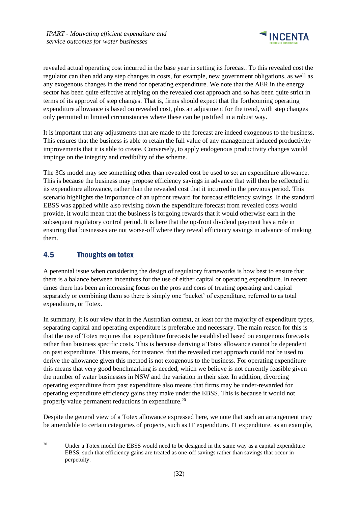

revealed actual operating cost incurred in the base year in setting its forecast. To this revealed cost the regulator can then add any step changes in costs, for example, new government obligations, as well as any exogenous changes in the trend for operating expenditure. We note that the AER in the energy sector has been quite effective at relying on the revealed cost approach and so has been quite strict in terms of its approval of step changes. That is, firms should expect that the forthcoming operating expenditure allowance is based on revealed cost, plus an adjustment for the trend, with step changes only permitted in limited circumstances where these can be justified in a robust way.

It is important that any adjustments that are made to the forecast are indeed exogenous to the business. This ensures that the business is able to retain the full value of any management induced productivity improvements that it is able to create. Conversely, to apply endogenous productivity changes would impinge on the integrity and credibility of the scheme.

The 3Cs model may see something other than revealed cost be used to set an expenditure allowance. This is because the business may propose efficiency savings in advance that will then be reflected in its expenditure allowance, rather than the revealed cost that it incurred in the previous period. This scenario highlights the importance of an upfront reward for forecast efficiency savings. If the standard EBSS was applied while also revising down the expenditure forecast from revealed costs would provide, it would mean that the business is forgoing rewards that it would otherwise earn in the subsequent regulatory control period. It is here that the up-front dividend payment has a role in ensuring that businesses are not worse-off where they reveal efficiency savings in advance of making them.

## <span id="page-35-0"></span>4.5 Thoughts on totex

A perennial issue when considering the design of regulatory frameworks is how best to ensure that there is a balance between incentives for the use of either capital or operating expenditure. In recent times there has been an increasing focus on the pros and cons of treating operating and capital separately or combining them so there is simply one 'bucket' of expenditure, referred to as total expenditure, or Totex.

In summary, it is our view that in the Australian context, at least for the majority of expenditure types, separating capital and operating expenditure is preferable and necessary. The main reason for this is that the use of Totex requires that expenditure forecasts be established based on exogenous forecasts rather than business specific costs. This is because deriving a Totex allowance cannot be dependent on past expenditure. This means, for instance, that the revealed cost approach could not be used to derive the allowance given this method is not exogenous to the business. For operating expenditure this means that very good benchmarking is needed, which we believe is not currently feasible given the number of water businesses in NSW and the variation in their size. In addition, divorcing operating expenditure from past expenditure also means that firms may be under-rewarded for operating expenditure efficiency gains they make under the EBSS. This is because it would not properly value permanent reductions in expenditure.<sup>20</sup>

Despite the general view of a Totex allowance expressed here, we note that such an arrangement may be amendable to certain categories of projects, such as IT expenditure. IT expenditure, as an example,

<sup>&</sup>lt;sup>20</sup> Under a Totex model the EBSS would need to be designed in the same way as a capital expenditure EBSS, such that efficiency gains are treated as one-off savings rather than savings that occur in perpetuity.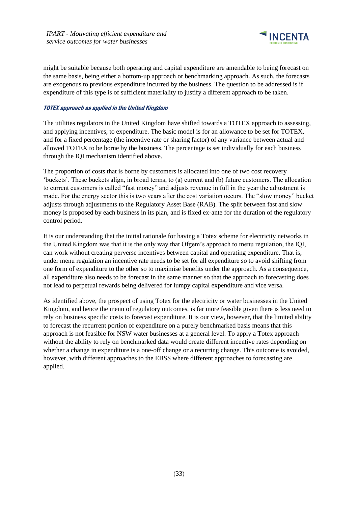

might be suitable because both operating and capital expenditure are amendable to being forecast on the same basis, being either a bottom-up approach or benchmarking approach. As such, the forecasts are exogenous to previous expenditure incurred by the business. The question to be addressed is if expenditure of this type is of sufficient materiality to justify a different approach to be taken.

### TOTEX approach as applied in the United Kingdom

The utilities regulators in the United Kingdom have shifted towards a TOTEX approach to assessing, and applying incentives, to expenditure. The basic model is for an allowance to be set for TOTEX, and for a fixed percentage (the incentive rate or sharing factor) of any variance between actual and allowed TOTEX to be borne by the business. The percentage is set individually for each business through the IQI mechanism identified above.

The proportion of costs that is borne by customers is allocated into one of two cost recovery 'buckets'. These buckets align, in broad terms, to (a) current and (b) future customers. The allocation to current customers is called "fast money" and adjusts revenue in full in the year the adjustment is made. For the energy sector this is two years after the cost variation occurs. The "slow money" bucket adjusts through adjustments to the Regulatory Asset Base (RAB). The split between fast and slow money is proposed by each business in its plan, and is fixed ex-ante for the duration of the regulatory control period.

It is our understanding that the initial rationale for having a Totex scheme for electricity networks in the United Kingdom was that it is the only way that Ofgem's approach to menu regulation, the IQI, can work without creating perverse incentives between capital and operating expenditure. That is, under menu regulation an incentive rate needs to be set for all expenditure so to avoid shifting from one form of expenditure to the other so to maximise benefits under the approach. As a consequence, all expenditure also needs to be forecast in the same manner so that the approach to forecasting does not lead to perpetual rewards being delivered for lumpy capital expenditure and vice versa.

As identified above, the prospect of using Totex for the electricity or water businesses in the United Kingdom, and hence the menu of regulatory outcomes, is far more feasible given there is less need to rely on business specific costs to forecast expenditure. It is our view, however, that the limited ability to forecast the recurrent portion of expenditure on a purely benchmarked basis means that this approach is not feasible for NSW water businesses at a general level. To apply a Totex approach without the ability to rely on benchmarked data would create different incentive rates depending on whether a change in expenditure is a one-off change or a recurring change. This outcome is avoided, however, with different approaches to the EBSS where different approaches to forecasting are applied.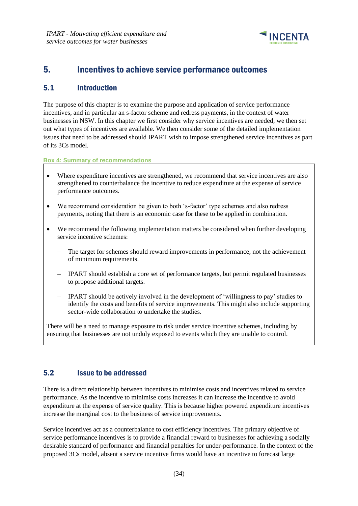

# <span id="page-37-0"></span>5. Incentives to achieve service performance outcomes

### <span id="page-37-1"></span>5.1 Introduction

The purpose of this chapter is to examine the purpose and application of service performance incentives, and in particular an s-factor scheme and redress payments, in the context of water businesses in NSW. In this chapter we first consider why service incentives are needed, we then set out what types of incentives are available. We then consider some of the detailed implementation issues that need to be addressed should IPART wish to impose strengthened service incentives as part of its 3Cs model.

**Box 4: Summary of recommendations**

- Where expenditure incentives are strengthened, we recommend that service incentives are also strengthened to counterbalance the incentive to reduce expenditure at the expense of service performance outcomes.
- We recommend consideration be given to both 's-factor' type schemes and also redress payments, noting that there is an economic case for these to be applied in combination.
- We recommend the following implementation matters be considered when further developing service incentive schemes:
	- The target for schemes should reward improvements in performance, not the achievement of minimum requirements.
	- IPART should establish a core set of performance targets, but permit regulated businesses to propose additional targets.
	- IPART should be actively involved in the development of 'willingness to pay' studies to identify the costs and benefits of service improvements. This might also include supporting sector-wide collaboration to undertake the studies.

There will be a need to manage exposure to risk under service incentive schemes, including by ensuring that businesses are not unduly exposed to events which they are unable to control.

### <span id="page-37-2"></span>5.2 Issue to be addressed

There is a direct relationship between incentives to minimise costs and incentives related to service performance. As the incentive to minimise costs increases it can increase the incentive to avoid expenditure at the expense of service quality. This is because higher powered expenditure incentives increase the marginal cost to the business of service improvements.

Service incentives act as a counterbalance to cost efficiency incentives. The primary objective of service performance incentives is to provide a financial reward to businesses for achieving a socially desirable standard of performance and financial penalties for under-performance. In the context of the proposed 3Cs model, absent a service incentive firms would have an incentive to forecast large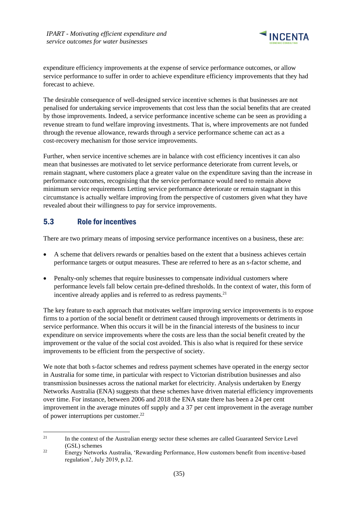

expenditure efficiency improvements at the expense of service performance outcomes, or allow service performance to suffer in order to achieve expenditure efficiency improvements that they had forecast to achieve.

The desirable consequence of well-designed service incentive schemes is that businesses are not penalised for undertaking service improvements that cost less than the social benefits that are created by those improvements. Indeed, a service performance incentive scheme can be seen as providing a revenue stream to fund welfare improving investments. That is, where improvements are not funded through the revenue allowance, rewards through a service performance scheme can act as a cost-recovery mechanism for those service improvements.

Further, when service incentive schemes are in balance with cost efficiency incentives it can also mean that businesses are motivated to let service performance deteriorate from current levels, or remain stagnant, where customers place a greater value on the expenditure saving than the increase in performance outcomes, recognising that the service performance would need to remain above minimum service requirements Letting service performance deteriorate or remain stagnant in this circumstance is actually welfare improving from the perspective of customers given what they have revealed about their willingness to pay for service improvements.

# <span id="page-38-0"></span>5.3 Role for incentives

There are two primary means of imposing service performance incentives on a business, these are:

- A scheme that delivers rewards or penalties based on the extent that a business achieves certain performance targets or output measures. These are referred to here as an s-factor scheme, and
- Penalty-only schemes that require businesses to compensate individual customers where performance levels fall below certain pre-defined thresholds. In the context of water, this form of incentive already applies and is referred to as redress payments.<sup>21</sup>

The key feature to each approach that motivates welfare improving service improvements is to expose firms to a portion of the social benefit or detriment caused through improvements or detriments in service performance. When this occurs it will be in the financial interests of the business to incur expenditure on service improvements where the costs are less than the social benefit created by the improvement or the value of the social cost avoided. This is also what is required for these service improvements to be efficient from the perspective of society.

We note that both s-factor schemes and redress payment schemes have operated in the energy sector in Australia for some time, in particular with respect to Victorian distribution businesses and also transmission businesses across the national market for electricity. Analysis undertaken by Energy Networks Australia (ENA) suggests that these schemes have driven material efficiency improvements over time. For instance, between 2006 and 2018 the ENA state there has been a 24 per cent improvement in the average minutes off supply and a 37 per cent improvement in the average number of power interruptions per customer.<sup>22</sup>

<sup>&</sup>lt;sup>21</sup> In the context of the Australian energy sector these schemes are called Guaranteed Service Level (GSL) schemes

<sup>&</sup>lt;sup>22</sup> Energy Networks Australia, 'Rewarding Performance, How customers benefit from incentive-based regulation', July 2019, p.12.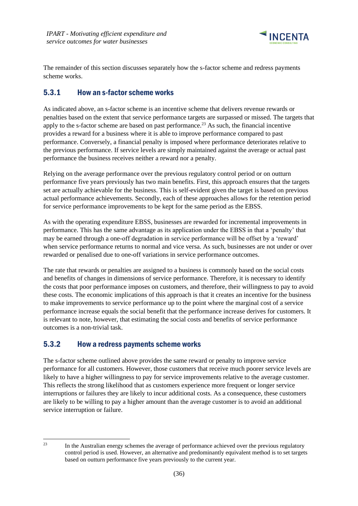

The remainder of this section discusses separately how the s-factor scheme and redress payments scheme works.

## <span id="page-39-0"></span>5.3.1 How an s-factor scheme works

As indicated above, an s-factor scheme is an incentive scheme that delivers revenue rewards or penalties based on the extent that service performance targets are surpassed or missed. The targets that apply to the s-factor scheme are based on past performance.<sup>23</sup> As such, the financial incentive provides a reward for a business where it is able to improve performance compared to past performance. Conversely, a financial penalty is imposed where performance deteriorates relative to the previous performance. If service levels are simply maintained against the average or actual past performance the business receives neither a reward nor a penalty.

Relying on the average performance over the previous regulatory control period or on outturn performance five years previously has two main benefits. First, this approach ensures that the targets set are actually achievable for the business. This is self-evident given the target is based on previous actual performance achievements. Secondly, each of these approaches allows for the retention period for service performance improvements to be kept for the same period as the EBSS.

As with the operating expenditure EBSS, businesses are rewarded for incremental improvements in performance. This has the same advantage as its application under the EBSS in that a 'penalty' that may be earned through a one-off degradation in service performance will be offset by a 'reward' when service performance returns to normal and vice versa. As such, businesses are not under or over rewarded or penalised due to one-off variations in service performance outcomes.

The rate that rewards or penalties are assigned to a business is commonly based on the social costs and benefits of changes in dimensions of service performance. Therefore, it is necessary to identify the costs that poor performance imposes on customers, and therefore, their willingness to pay to avoid these costs. The economic implications of this approach is that it creates an incentive for the business to make improvements to service performance up to the point where the marginal cost of a service performance increase equals the social benefit that the performance increase derives for customers. It is relevant to note, however, that estimating the social costs and benefits of service performance outcomes is a non-trivial task.

### <span id="page-39-1"></span>5.3.2 How a redress payments scheme works

The s-factor scheme outlined above provides the same reward or penalty to improve service performance for all customers. However, those customers that receive much poorer service levels are likely to have a higher willingness to pay for service improvements relative to the average customer. This reflects the strong likelihood that as customers experience more frequent or longer service interruptions or failures they are likely to incur additional costs. As a consequence, these customers are likely to be willing to pay a higher amount than the average customer is to avoid an additional service interruption or failure.

<sup>&</sup>lt;sup>23</sup> In the Australian energy schemes the average of performance achieved over the previous regulatory control period is used. However, an alternative and predominantly equivalent method is to set targets based on outturn performance five years previously to the current year.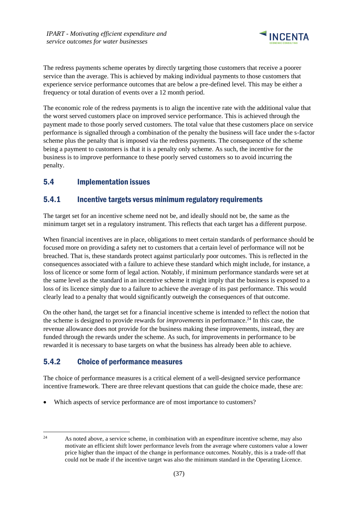

The redress payments scheme operates by directly targeting those customers that receive a poorer service than the average. This is achieved by making individual payments to those customers that experience service performance outcomes that are below a pre-defined level. This may be either a frequency or total duration of events over a 12 month period.

The economic role of the redress payments is to align the incentive rate with the additional value that the worst served customers place on improved service performance. This is achieved through the payment made to those poorly served customers. The total value that these customers place on service performance is signalled through a combination of the penalty the business will face under the s-factor scheme plus the penalty that is imposed via the redress payments. The consequence of the scheme being a payment to customers is that it is a penalty only scheme. As such, the incentive for the business is to improve performance to these poorly served customers so to avoid incurring the penalty.

# <span id="page-40-0"></span>5.4 Implementation issues

### <span id="page-40-1"></span>5.4.1 Incentive targets versus minimum regulatory requirements

The target set for an incentive scheme need not be, and ideally should not be, the same as the minimum target set in a regulatory instrument. This reflects that each target has a different purpose.

When financial incentives are in place, obligations to meet certain standards of performance should be focused more on providing a safety net to customers that a certain level of performance will not be breached. That is, these standards protect against particularly poor outcomes. This is reflected in the consequences associated with a failure to achieve these standard which might include, for instance, a loss of licence or some form of legal action. Notably, if minimum performance standards were set at the same level as the standard in an incentive scheme it might imply that the business is exposed to a loss of its licence simply due to a failure to achieve the average of its past performance. This would clearly lead to a penalty that would significantly outweigh the consequences of that outcome.

On the other hand, the target set for a financial incentive scheme is intended to reflect the notion that the scheme is designed to provide rewards for *improvements* in performance.<sup>24</sup> In this case, the revenue allowance does not provide for the business making these improvements, instead, they are funded through the rewards under the scheme. As such, for improvements in performance to be rewarded it is necessary to base targets on what the business has already been able to achieve.

# <span id="page-40-2"></span>5.4.2 Choice of performance measures

The choice of performance measures is a critical element of a well-designed service performance incentive framework. There are three relevant questions that can guide the choice made, these are:

Which aspects of service performance are of most importance to customers?

<sup>&</sup>lt;sup>24</sup> As noted above, a service scheme, in combination with an expenditure incentive scheme, may also motivate an efficient shift lower performance levels from the average where customers value a lower price higher than the impact of the change in performance outcomes. Notably, this is a trade-off that could not be made if the incentive target was also the minimum standard in the Operating Licence.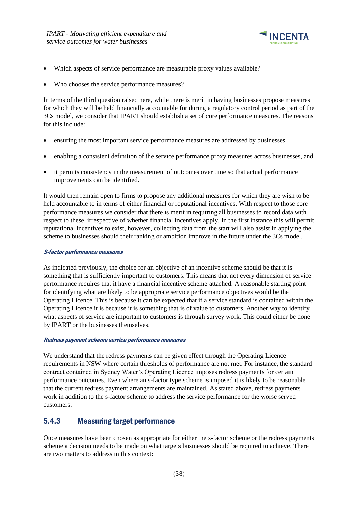

- Which aspects of service performance are measurable proxy values available?
- Who chooses the service performance measures?

In terms of the third question raised here, while there is merit in having businesses propose measures for which they will be held financially accountable for during a regulatory control period as part of the 3Cs model, we consider that IPART should establish a set of core performance measures. The reasons for this include:

- ensuring the most important service performance measures are addressed by businesses
- enabling a consistent definition of the service performance proxy measures across businesses, and
- it permits consistency in the measurement of outcomes over time so that actual performance improvements can be identified.

It would then remain open to firms to propose any additional measures for which they are wish to be held accountable to in terms of either financial or reputational incentives. With respect to those core performance measures we consider that there is merit in requiring all businesses to record data with respect to these, irrespective of whether financial incentives apply. In the first instance this will permit reputational incentives to exist, however, collecting data from the start will also assist in applying the scheme to businesses should their ranking or ambition improve in the future under the 3Cs model.

### S-factor performance measures

As indicated previously, the choice for an objective of an incentive scheme should be that it is something that is sufficiently important to customers. This means that not every dimension of service performance requires that it have a financial incentive scheme attached. A reasonable starting point for identifying what are likely to be appropriate service performance objectives would be the Operating Licence. This is because it can be expected that if a service standard is contained within the Operating Licence it is because it is something that is of value to customers. Another way to identify what aspects of service are important to customers is through survey work. This could either be done by IPART or the businesses themselves.

#### Redress payment scheme service performance measures

We understand that the redress payments can be given effect through the Operating Licence requirements in NSW where certain thresholds of performance are not met. For instance, the standard contract contained in Sydney Water's Operating Licence imposes redress payments for certain performance outcomes. Even where an s-factor type scheme is imposed it is likely to be reasonable that the current redress payment arrangements are maintained. As stated above, redress payments work in addition to the s-factor scheme to address the service performance for the worse served customers.

### <span id="page-41-0"></span>5.4.3 Measuring target performance

Once measures have been chosen as appropriate for either the s-factor scheme or the redress payments scheme a decision needs to be made on what targets businesses should be required to achieve. There are two matters to address in this context: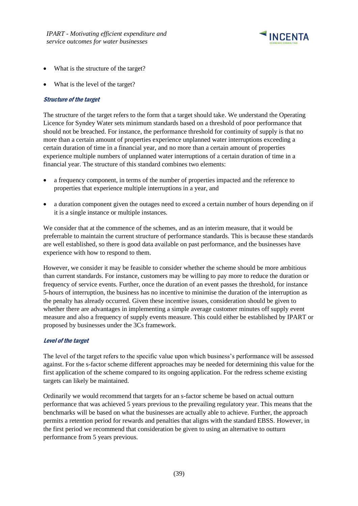

- What is the structure of the target?
- What is the level of the target?

### Structure of the target

The structure of the target refers to the form that a target should take. We understand the Operating Licence for Syndey Water sets minimum standards based on a threshold of poor performance that should not be breached. For instance, the performance threshold for continuity of supply is that no more than a certain amount of properties experience unplanned water interruptions exceeding a certain duration of time in a financial year, and no more than a certain amount of properties experience multiple numbers of unplanned water interruptions of a certain duration of time in a financial year. The structure of this standard combines two elements:

- a frequency component, in terms of the number of properties impacted and the reference to properties that experience multiple interruptions in a year, and
- a duration component given the outages need to exceed a certain number of hours depending on if it is a single instance or multiple instances.

We consider that at the commence of the schemes, and as an interim measure, that it would be preferrable to maintain the current structure of performance standards. This is because these standards are well established, so there is good data available on past performance, and the businesses have experience with how to respond to them.

However, we consider it may be feasible to consider whether the scheme should be more ambitious than current standards. For instance, customers may be willing to pay more to reduce the duration or frequency of service events. Further, once the duration of an event passes the threshold, for instance 5-hours of interruption, the business has no incentive to minimise the duration of the interruption as the penalty has already occurred. Given these incentive issues, consideration should be given to whether there are advantages in implementing a simple average customer minutes off supply event measure and also a frequency of supply events measure. This could either be established by IPART or proposed by businesses under the 3Cs framework.

#### Level of the target

The level of the target refers to the specific value upon which business's performance will be assessed against. For the s-factor scheme different approaches may be needed for determining this value for the first application of the scheme compared to its ongoing application. For the redress scheme existing targets can likely be maintained.

Ordinarily we would recommend that targets for an s-factor scheme be based on actual outturn performance that was achieved 5 years previous to the prevailing regulatory year. This means that the benchmarks will be based on what the businesses are actually able to achieve. Further, the approach permits a retention period for rewards and penalties that aligns with the standard EBSS. However, in the first period we recommend that consideration be given to using an alternative to outturn performance from 5 years previous.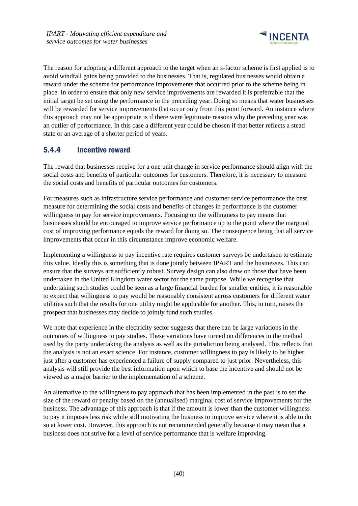

The reason for adopting a different approach to the target when an s-factor scheme is first applied is to avoid windfall gains being provided to the businesses. That is, regulated businesses would obtain a reward under the scheme for performance improvements that occurred prior to the scheme being in place. In order to ensure that only new service improvements are rewarded it is preferrable that the initial target be set using the performance in the preceding year. Doing so means that water businesses will be rewarded for service improvements that occur only from this point forward. An instance where this approach may not be appropriate is if there were legitimate reasons why the preceding year was an outlier of performance. In this case a different year could be chosen if that better reflects a stead state or an average of a shorter period of years.

### <span id="page-43-0"></span>5.4.4 Incentive reward

The reward that businesses receive for a one unit change in service performance should align with the social costs and benefits of particular outcomes for customers. Therefore, it is necessary to measure the social costs and benefits of particular outcomes for customers.

For measures such as infrastructure service performance and customer service performance the best measure for determining the social costs and benefits of changes in performance is the customer willingness to pay for service improvements. Focusing on the willingness to pay means that businesses should be encouraged to improve service performance up to the point where the marginal cost of improving performance equals the reward for doing so. The consequence being that all service improvements that occur in this circumstance improve economic welfare.

Implementing a willingness to pay incentive rate requires customer surveys be undertaken to estimate this value. Ideally this is something that is done jointly between IPART and the businesses. This can ensure that the surveys are sufficiently robust. Survey design can also draw on those that have been undertaken in the United Kingdom water sector for the same purpose. While we recognise that undertaking such studies could be seen as a large financial burden for smaller entities, it is reasonable to expect that willingness to pay would be reasonably consistent across customers for different water utilities such that the results for one utility might be applicable for another. This, in turn, raises the prospect that businesses may decide to jointly fund such studies.

We note that experience in the electricity sector suggests that there can be large variations in the outcomes of willingness to pay studies. These variations have turned on differences in the method used by the party undertaking the analysis as well as the jurisdiction being analysed. This reflects that the analysis is not an exact science. For instance, customer willingness to pay is likely to be higher just after a customer has experienced a failure of supply compared to just prior. Nevertheless, this analysis will still provide the best information upon which to base the incentive and should not be viewed as a major barrier to the implementation of a scheme.

An alternative to the willingness to pay approach that has been implemented in the past is to set the size of the reward or penalty based on the (annualised) marginal cost of service improvements for the business. The advantage of this approach is that if the amount is lower than the customer willingness to pay it imposes less risk while still motivating the business to improve service where it is able to do so at lower cost. However, this approach is not recommended generally because it may mean that a business does not strive for a level of service performance that is welfare improving.